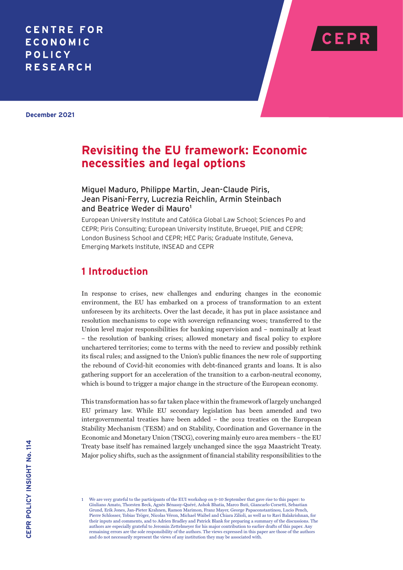# **CENTRE FOR ECONOMIC** POLICY **RESEARCH**



**December 2021**

# **Revisiting the EU framework: Economic necessities and legal options**

## Miguel Maduro, Philippe Martin, Jean-Claude Piris, Jean Pisani-Ferry, Lucrezia Reichlin, Armin Steinbach and Beatrice Weder di Mauro**<sup>1</sup>**

European University Institute and Católica Global Law School; Sciences Po and CEPR; Piris Consulting; European University Institute, Bruegel, PIIE and CEPR; London Business School and CEPR; HEC Paris; Graduate Institute, Geneva, Emerging Markets Institute, INSEAD and CEPR

## **1 Introduction**

In response to crises, new challenges and enduring changes in the economic environment, the EU has embarked on a process of transformation to an extent unforeseen by its architects. Over the last decade, it has put in place assistance and resolution mechanisms to cope with sovereign refinancing woes; transferred to the Union level major responsibilities for banking supervision and – nominally at least – the resolution of banking crises; allowed monetary and fiscal policy to explore unchartered territories; come to terms with the need to review and possibly rethink its fiscal rules; and assigned to the Union's public finances the new role of supporting the rebound of Covid-hit economies with debt-financed grants and loans. It is also gathering support for an acceleration of the transition to a carbon-neutral economy, which is bound to trigger a major change in the structure of the European economy.

This transformation has so far taken place within the framework of largely unchanged EU primary law. While EU secondary legislation has been amended and two intergovernmental treaties have been added – the 2012 treaties on the European Stability Mechanism (TESM) and on Stability, Coordination and Governance in the Economic and Monetary Union (TSCG), covering mainly euro area members – the EU Treaty base itself has remained largely unchanged since the 1992 Maastricht Treaty. Major policy shifts, such as the assignment of financial stability responsibilities to the

We are very grateful to the participants of the EUI workshop on 9-10 September that gave rise to this paper: to Giuliano Amato, Thorsten Beck, Agnès Bénassy-Quéré, Ashok Bhatia, Marco Buti, Giancarlo Corsetti, Sebastian Grund, Erik Jones, Jan-Pieter Krahnen, Ramon Marimon, Franz Mayer, George Papaconstantinou, Lucio Pench, Pierre Schlosser, Tobias Tröger, Nicolas Véron, Michael Waibel and Chiara Zilioli, as well as to Ravi Balakrishnan, for their inputs and comments, and to Adrien Bradley and Patrick Blank for preparing a summary of the discussions. The authors are especially grateful to Jeromin Zettelmeyer for his major contribution to earlier drafts of this paper. Any remaining errors are the sole responsibility of the authors. The views expressed in this paper are those of the authors and do not necessarily represent the views of any institution they may be associated with.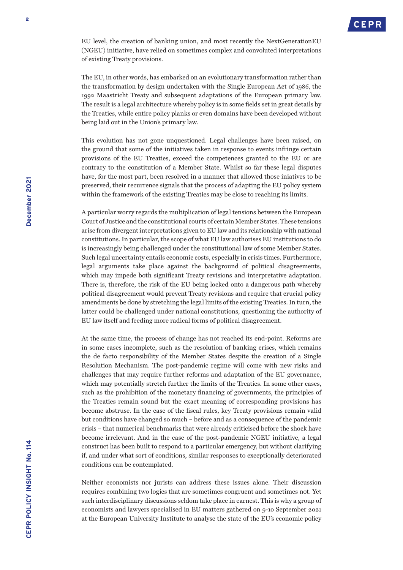

EU level, the creation of banking union, and most recently the NextGenerationEU (NGEU) initiative, have relied on sometimes complex and convoluted interpretations of existing Treaty provisions.

The EU, in other words, has embarked on an evolutionary transformation rather than the transformation by design undertaken with the Single European Act of 1986, the 1992 Maastricht Treaty and subsequent adaptations of the European primary law. The result is a legal architecture whereby policy is in some fields set in great details by the Treaties, while entire policy planks or even domains have been developed without being laid out in the Union's primary law.

This evolution has not gone unquestioned. Legal challenges have been raised, on the ground that some of the initiatives taken in response to events infringe certain provisions of the EU Treaties, exceed the competences granted to the EU or are contrary to the constitution of a Member State. Whilst so far these legal disputes have, for the most part, been resolved in a manner that allowed those iniatives to be preserved, their recurrence signals that the process of adapting the EU policy system within the framework of the existing Treaties may be close to reaching its limits.

A particular worry regards the multiplication of legal tensions between the European Court of Justice and the constitutional courts of certain Member States. These tensions arise from divergent interpretations given to EU law and its relationship with national constitutions. In particular, the scope of what EU law authorises EU institutions to do is increasingly being challenged under the constitutional law of some Member States. Such legal uncertainty entails economic costs, especially in crisis times. Furthermore, legal arguments take place against the background of political disagreements, which may impede both significant Treaty revisions and interpretative adaptation. There is, therefore, the risk of the EU being locked onto a dangerous path whereby political disagreement would prevent Treaty revisions and require that crucial policy amendments be done by stretching the legal limits of the existing Treaties. In turn, the latter could be challenged under national constitutions, questioning the authority of EU law itself and feeding more radical forms of political disagreement.

At the same time, the process of change has not reached its end-point. Reforms are in some cases incomplete, such as the resolution of banking crises, which remains the de facto responsibility of the Member States despite the creation of a Single Resolution Mechanism. The post-pandemic regime will come with new risks and challenges that may require further reforms and adaptation of the EU governance, which may potentially stretch further the limits of the Treaties. In some other cases, such as the prohibition of the monetary financing of governments, the principles of the Treaties remain sound but the exact meaning of corresponding provisions has become abstruse. In the case of the fiscal rules, key Treaty provisions remain valid but conditions have changed so much – before and as a consequence of the pandemic crisis – that numerical benchmarks that were already criticised before the shock have become irrelevant. And in the case of the post-pandemic NGEU initiative, a legal construct has been built to respond to a particular emergency, but without clarifying if, and under what sort of conditions, similar responses to exceptionally deteriorated conditions can be contemplated.

Neither economists nor jurists can address these issues alone. Their discussion requires combining two logics that are sometimes congruent and sometimes not. Yet such interdisciplinary discussions seldom take place in earnest. This is why a group of economists and lawyers specialised in EU matters gathered on 9-10 September 2021 at the European University Institute to analyse the state of the EU's economic policy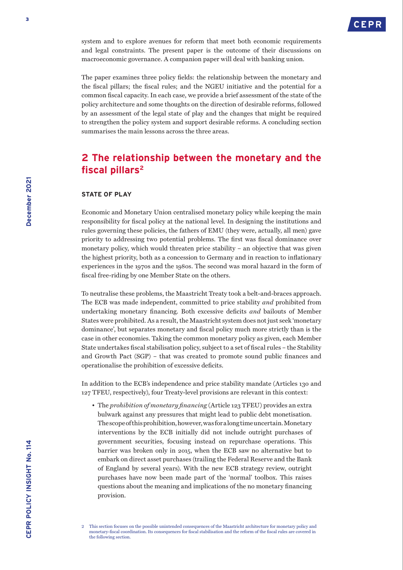

system and to explore avenues for reform that meet both economic requirements and legal constraints. The present paper is the outcome of their discussions on macroeconomic governance. A companion paper will deal with banking union.

The paper examines three policy fields: the relationship between the monetary and the fiscal pillars; the fiscal rules; and the NGEU initiative and the potential for a common fiscal capacity. In each case, we provide a brief assessment of the state of the policy architecture and some thoughts on the direction of desirable reforms, followed by an assessment of the legal state of play and the changes that might be required to strengthen the policy system and support desirable reforms. A concluding section summarises the main lessons across the three areas.

# **2 The relationship between the monetary and the fiscal pillars2**

## **STATE OF PLAY**

Economic and Monetary Union centralised monetary policy while keeping the main responsibility for fiscal policy at the national level. In designing the institutions and rules governing these policies, the fathers of EMU (they were, actually, all men) gave priority to addressing two potential problems. The first was fiscal dominance over monetary policy, which would threaten price stability – an objective that was given the highest priority, both as a concession to Germany and in reaction to inflationary experiences in the 1970s and the 1980s. The second was moral hazard in the form of fiscal free-riding by one Member State on the others.

To neutralise these problems, the Maastricht Treaty took a belt-and-braces approach. The ECB was made independent, committed to price stability *and* prohibited from undertaking monetary financing. Both excessive deficits *and* bailouts of Member States were prohibited. As a result, the Maastricht system does not just seek 'monetary dominance', but separates monetary and fiscal policy much more strictly than is the case in other economies. Taking the common monetary policy as given, each Member State undertakes fiscal stabilisation policy, subject to a set of fiscal rules – the Stability and Growth Pact (SGP) – that was created to promote sound public finances and operationalise the prohibition of excessive deficits.

In addition to the ECB's independence and price stability mandate (Articles 130 and 127 TFEU, respectively), four Treaty-level provisions are relevant in this context:

• The *prohibition of monetary financing* (Article 123 TFEU) provides an extra bulwark against any pressures that might lead to public debt monetisation. The scope of this prohibition, however, was for a long time uncertain. Monetary interventions by the ECB initially did not include outright purchases of government securities, focusing instead on repurchase operations. This barrier was broken only in 2015, when the ECB saw no alternative but to embark on direct asset purchases (trailing the Federal Reserve and the Bank of England by several years). With the new ECB strategy review, outright purchases have now been made part of the 'normal' toolbox. This raises questions about the meaning and implications of the no monetary financing provision.

<sup>2</sup> This section focuses on the possible unintended consequences of the Maastricht architecture for monetary policy and monetary-fiscal coordination. Its consequences for fiscal stabilisation and the reform of the fiscal rules are covered in the following section.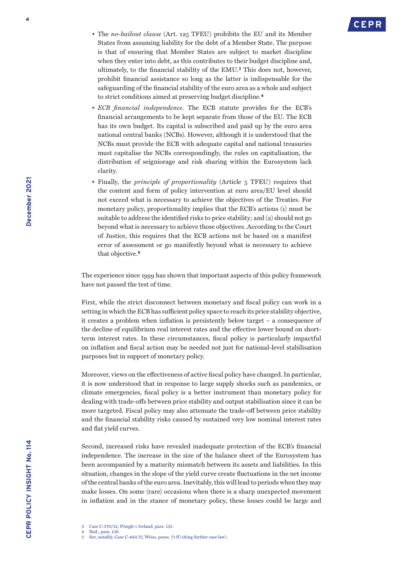

- The *no-bailout clause* (Art. 125 TFEU) prohibits the EU and its Member States from assuming liability for the debt of a Member State. The purpose is that of ensuring that Member States are subject to market discipline when they enter into debt, as this contributes to their budget discipline and, ultimately, to the financial stability of the EMU.**<sup>3</sup>** This does not, however, prohibit financial assistance so long as the latter is indispensable for the safeguarding of the financial stability of the euro area as a whole and subject to strict conditions aimed at preserving budget discipline.**<sup>4</sup>**
- *ECB financial independence*. The ECB statute provides for the ECB's financial arrangements to be kept separate from those of the EU. The ECB has its own budget. Its capital is subscribed and paid up by the euro area national central banks (NCBs). However, although it is understood that the NCBs must provide the ECB with adequate capital and national treasuries must capitalise the NCBs correspondingly, the rules on capitalisation, the distribution of seigniorage and risk sharing within the Eurosystem lack clarity.
- Finally, the *principle of proportionality* (Article 5 TFEU) requires that the content and form of policy intervention at euro area/EU level should not exceed what is necessary to achieve the objectives of the Treaties. For monetary policy, proportionality implies that the ECB's actions (1) must be suitable to address the identified risks to price stability; and (2) should not go beyond what is necessary to achieve those objectives. According to the Court of Justice, this requires that the ECB actions not be based on a manifest error of assessment or go manifestly beyond what is necessary to achieve that objective.**<sup>5</sup>**

The experience since 1999 has shown that important aspects of this policy framework have not passed the test of time.

First, while the strict disconnect between monetary and fiscal policy can work in a setting in which the ECB has sufficient policy space to reach its price stability objective, it creates a problem when inflation is persistently below target – a consequence of the decline of equilibrium real interest rates and the effective lower bound on shortterm interest rates. In these circumstances, fiscal policy is particularly impactful on inflation and fiscal action may be needed not just for national-level stabilisation purposes but in support of monetary policy.

Moreover, views on the effectiveness of active fiscal policy have changed. In particular, it is now understood that in response to large supply shocks such as pandemics, or climate emergencies, fiscal policy is a better instrument than monetary policy for dealing with trade-offs between price stability and output stabilisation since it can be more targeted. Fiscal policy may also attenuate the trade-off between price stability and the financial stability risks caused by sustained very low nominal interest rates and flat yield curves.

Second, increased risks have revealed inadequate protection of the ECB's financial independence. The increase in the size of the balance sheet of the Eurosystem has been accompanied by a maturity mismatch between its assets and liabilities. In this situation, changes in the slope of the yield curve create fluctuations in the net income of the central banks of the euro area. Inevitably, this will lead to periods when they may make losses. On some (rare) occasions when there is a sharp unexpected movement in inflation and in the stance of monetary policy, these losses could be large and

4 Ibid., para. 136.

4

<sup>3</sup> Case C-370/12, Pringle v Ireland, para. 135.

<sup>5</sup> See, notably, Case C-493/17, Weiss, paras. 71 ff (citing further case law).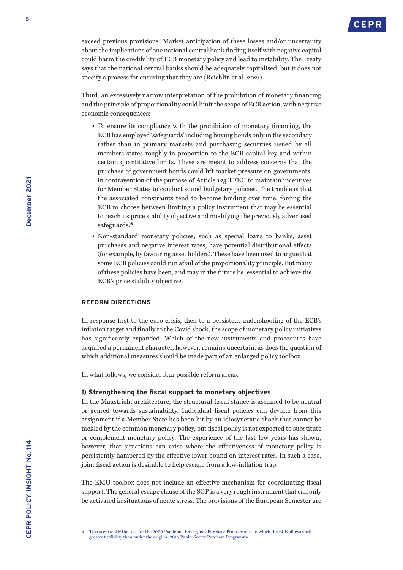exceed previous provisions. Market anticipation of these losses and/or uncertainty about the implications of one national central bank finding itself with negative capital could harm the credibility of ECB monetary policy and lead to instability. The Treaty says that the national central banks should be adequately capitalised, but it does not specify a process for ensuring that they are (Reichlin et al. 2021).

Third, an excessively narrow interpretation of the prohibition of monetary financing and the principle of proportionality could limit the scope of ECB action, with negative economic consequences:

- To ensure its compliance with the prohibition of monetary financing, the ECB has employed 'safeguards' including buying bonds only in the secondary rather than in primary markets and purchasing securities issued by all members states roughly in proportion to the ECB capital key and within certain quantitative limits. These are meant to address concerns that the purchase of government bonds could lift market pressure on governments, in contravention of the purpose of Article 123 TFEU to maintain incentives for Member States to conduct sound budgetary policies. The trouble is that the associated constraints tend to become binding over time, forcing the ECB to choose between limiting a policy instrument that may be essential to reach its price stability objective and modifying the previously advertised safeguards.**<sup>6</sup>**
- Non-standard monetary policies, such as special loans to banks, asset purchases and negative interest rates, have potential distributional effects (for example, by favouring asset holders). These have been used to argue that some ECB policies could run afoul of the proportionality principle. But many of these policies have been, and may in the future be, essential to achieve the ECB's price stability objective.

#### **REFORM DIRECTIONS**

In response first to the euro crisis, then to a persistent undershooting of the ECB's inflation target and finally to the Covid shock, the scope of monetary policy initiatives has significantly expanded. Which of the new instruments and procedures have acquired a permanent character, however, remains uncertain, as does the question of which additional measures should be made part of an enlarged policy toolbox.

In what follows, we consider four possible reform areas.

#### **1) Strengthening the fiscal support to monetary objectives**

In the Maastricht architecture, the structural fiscal stance is assumed to be neutral or geared towards sustainability. Individual fiscal policies can deviate from this assignment if a Member State has been hit by an idiosyncratic shock that cannot be tackled by the common monetary policy, but fiscal policy is not expected to substitute or complement monetary policy. The experience of the last few years has shown, however, that situations can arise where the effectiveness of monetary policy is persistently hampered by the effective lower bound on interest rates. In such a case, joint fiscal action is desirable to help escape from a low-inflation trap.

The EMU toolbox does not include an effective mechanism for coordinating fiscal support. The general escape clause of the SGP is a very rough instrument that can only be activated in situations of acute stress. The provisions of the European Semester are

<sup>6</sup> This is currently the case for the 2020 Pandemic Emergency Purchase Programmes, in which the ECB allows itself greater flexibility than under the original 2015 Public Sector Purchase Programme.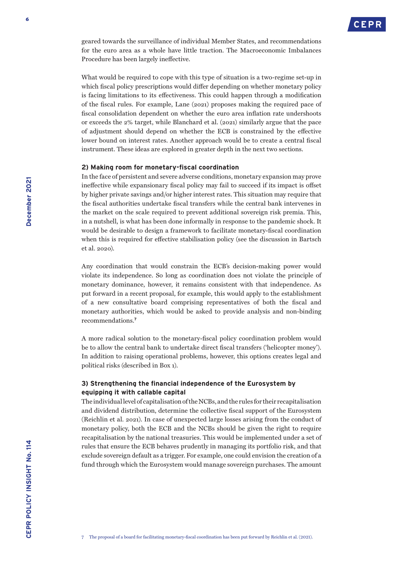

geared towards the surveillance of individual Member States, and recommendations for the euro area as a whole have little traction. The Macroeconomic Imbalances Procedure has been largely ineffective.

What would be required to cope with this type of situation is a two-regime set-up in which fiscal policy prescriptions would differ depending on whether monetary policy is facing limitations to its effectiveness. This could happen through a modification of the fiscal rules. For example, [Lane](https://www.ecb.europa.eu/press/key/date/2021/html/ecb.sp211112~739d3447ab.en.html) (2021) proposes making the required pace of fiscal consolidation dependent on whether the euro area inflation rate undershoots or exceeds the 2% target, while Blanchard et al. (2021) similarly argue that the pace of adjustment should depend on whether the ECB is constrained by the effective lower bound on interest rates. Another approach would be to create a central fiscal instrument. These ideas are explored in greater depth in the next two sections.

## **2) Making room for monetary-fiscal coordination**

In the face of persistent and severe adverse conditions, monetary expansion may prove ineffective while expansionary fiscal policy may fail to succeed if its impact is offset by higher private savings and/or higher interest rates. This situation may require that the fiscal authorities undertake fiscal transfers while the central bank intervenes in the market on the scale required to prevent additional sovereign risk premia. This, in a nutshell, is what has been done informally in response to the pandemic shock. It would be desirable to design a framework to facilitate monetary-fiscal coordination when this is required for effective stabilisation policy (see the discussion in Bartsch et al. 2020).

Any coordination that would constrain the ECB's decision-making power would violate its independence. So long as coordination does not violate the principle of monetary dominance, however, it remains consistent with that independence. As put forward in a recent proposal, for example, this would apply to the establishment of a new consultative board comprising representatives of both the fiscal and monetary authorities, which would be asked to provide analysis and non-binding recommendations.**<sup>7</sup>**

A more radical solution to the monetary-fiscal policy coordination problem would be to allow the central bank to undertake direct fiscal transfers ('helicopter money'). In addition to raising operational problems, however, this options creates legal and political risks (described in Box 1).

## **3) Strengthening the financial independence of the Eurosystem by equipping it with callable capital**

The individual level of capitalisation of the NCBs, and the rules for their recapitalisation and dividend distribution, determine the collective fiscal support of the Eurosystem (Reichlin et al. 2021). In case of unexpected large losses arising from the conduct of monetary policy, both the ECB and the NCBs should be given the right to require recapitalisation by the national treasuries. This would be implemented under a set of rules that ensure the ECB behaves prudently in managing its portfolio risk, and that exclude sovereign default as a trigger. For example, one could envision the creation of a fund through which the Eurosystem would manage sovereign purchases. The amount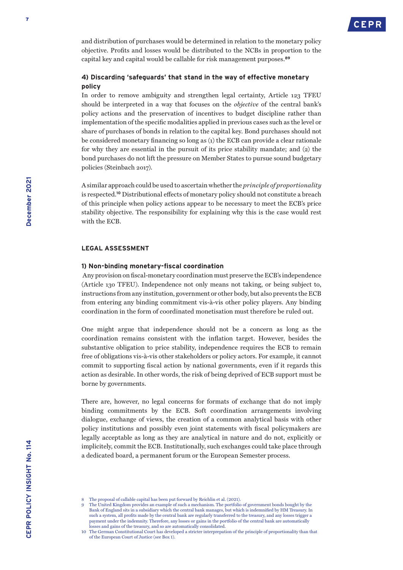

and distribution of purchases would be determined in relation to the monetary policy objective. Profits and losses would be distributed to the NCBs in proportion to the capital key and capital would be callable for risk management purposes.**<sup>89</sup>**

## **4) Discarding 'safeguards' that stand in the way of effective monetary policy**

In order to remove ambiguity and strengthen legal certainty, Article 123 TFEU should be interpreted in a way that focuses on the *objective* of the central bank's policy actions and the preservation of incentives to budget discipline rather than implementation of the specific modalities applied in previous cases such as the level or share of purchases of bonds in relation to the capital key. Bond purchases should not be considered monetary financing so long as (1) the ECB can provide a clear rationale for why they are essential in the pursuit of its price stability mandate; and (2) the bond purchases do not lift the pressure on Member States to pursue sound budgetary policies (Steinbach 2017).

A similar approach could be used to ascertain whether the *principle of proportionality* is respected.**<sup>10</sup>** Distributional effects of monetary policy should not constitute a breach of this principle when policy actions appear to be necessary to meet the ECB's price stability objective. The responsibility for explaining why this is the case would rest with the ECB.

#### **LEGAL ASSESSMENT**

### **1) Non-binding monetary-fiscal coordination**

 Any provision on fiscal-monetary coordination must preserve the ECB's independence (Article 130 TFEU). Independence not only means not taking, or being subject to, instructions from any institution, government or other body, but also prevents the ECB from entering any binding commitment vis-à-vis other policy players. Any binding coordination in the form of coordinated monetisation must therefore be ruled out.

One might argue that independence should not be a concern as long as the coordination remains consistent with the inflation target. However, besides the substantive obligation to price stability, independence requires the ECB to remain free of obligations vis-à-vis other stakeholders or policy actors. For example, it cannot commit to supporting fiscal action by national governments, even if it regards this action as desirable. In other words, the risk of being deprived of ECB support must be borne by governments.

There are, however, no legal concerns for formats of exchange that do not imply binding commitments by the ECB. Soft coordination arrangements involving dialogue, exchange of views, the creation of a common analytical basis with other policy institutions and possibly even joint statements with fiscal policymakers are legally acceptable as long as they are analytical in nature and do not, explicitly or implicitely, commit the ECB. Institutionally, such exchanges could take place through a dedicated board, a permanent forum or the European Semester process.

<sup>8</sup> The proposal of callable capital has been put forward by Reichlin et al. (2021).

<sup>9</sup> The United Kingdom provides an example of such a mechanism. The portfolio of government bonds bought by the Bank of England sits in a subsidiary which the central bank manages, but which is indemnified by HM Treasury. In such a system, all profits made by the central bank are regularly transferred to the treasury, and any losses trigger a payment under the indemnity. Therefore, any losses or gains in the portfolio of the central bank are automatically losses and gains of the treasury, and so are automatically consolidated.

<sup>10</sup> The German Constitutional Court has developed a stricter interprepation of the principle of proportionality than that of the European Court of Justice (see Box 1).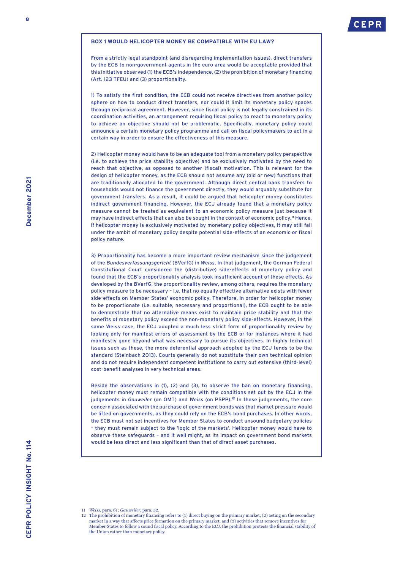#### **BOX 1 WOULD HELICOPTER MONEY BE COMPATIBLE WITH EU LAW?**

From a strictly legal standpoint (and disregarding implementation issues), direct transfers by the ECB to non-government agents in the euro area would be acceptable provided that this initiative observed (1) the ECB's independence, (2) the prohibition of monetary financing (Art. 123 TFEU) and (3) proportionality.

1) To satisfy the first condition, the ECB could not receive directives from another policy sphere on how to conduct direct transfers, nor could it limit its monetary policy spaces through reciprocal agreement. However, since fiscal policy is not legally constrained in its coordination activities, an arrangement requiring fiscal policy to react to monetary policy to achieve an objective should not be problematic. Specifically, monetary policy could announce a certain monetary policy programme and call on fiscal policymakers to act in a certain way in order to ensure the effectiveness of this measure.

2) Helicopter money would have to be an adequate tool from a monetary policy perspective (i.e. to achieve the price stability objective) and be exclusively motivated by the need to reach that objective, as opposed to another (fiscal) motivation. This is relevant for the design of helicopter money, as the ECB should not assume any (old or new) functions that are traditionally allocated to the government. Although direct central bank transfers to households would not finance the government directly, they would arguably substitute for government transfers. As a result, it could be argued that helicopter money constitutes indirect government financing. However, the ECJ already found that a monetary policy measure cannot be treated as equivalent to an economic policy measure just because it may have indirect effects that can also be sought in the context of economic policy.**11** Hence, if helicopter money is exclusively motivated by monetary policy objectives, it may still fall under the ambit of monetary policy despite potential side-effects of an economic or fiscal policy nature.

3) Proportionality has become a more important review mechanism since the judgement of the *Bundesverfassungsgericht* (BVerfG) in *Weiss*. In that judgement, the German Federal Constitutional Court considered the (distributive) side-effects of monetary policy and found that the ECB's proportionality analysis took insufficient account of these effects. As developed by the BVerfG, the proportionality review, among others, requires the monetary policy measure to be necessary – i.e. that no equally effective alternative exists with fewer side-effects on Member States' economic policy. Therefore, in order for helicopter money to be proportionate (i.e. suitable, necessary and proportional), the ECB ought to be able to demonstrate that no alternative means exist to maintain price stability and that the benefits of monetary policy exceed the non-monetary policy side-effects. However, in the same Weiss case, the ECJ adopted a much less strict form of proportionality review by looking only for manifest errors of assessment by the ECB or for instances where it had manifestly gone beyond what was necessary to pursue its objectives. In highly technical issues such as these, the more deferential approach adopted by the ECJ tends to be the standard (Steinbach 2013). Courts generally do not substitute their own technical opinion and do not require independent competent institutions to carry out extensive (third-level) cost-benefit analyses in very technical areas.

Beside the observations in (1), (2) and (3), to observe the ban on monetary financing, helicopter money must remain compatible with the conditions set out by the ECJ in the judgements in *Gauweiler* (on OMT) and *Weiss* (on PSPP).**12** In these judgements, the core concern associated with the purchase of government bonds was that market pressure would be lifted on governments, as they could rely on the ECB's bond purchases. In other words, the ECB must not set incentives for Member States to conduct unsound budgetary policies – they must remain subject to the 'logic of the markets'. Helicopter money would have to observe these safeguards – and it well might, as its impact on government bond markets would be less direct and less significant than that of direct asset purchases.

8

<sup>11</sup> *Weiss*, para. 61; *Gauweiler*, para. 52.

<sup>12</sup> The prohibition of monetary financing refers to (1) direct buying on the primary market, (2) acting on the secondary market in a way that affects price formation on the primary market, and (3) activities that remove incentives for Member States to follow a sound fiscal policy. According to the ECJ, the prohibition protects the financial stability of the Union rather than monetary policy.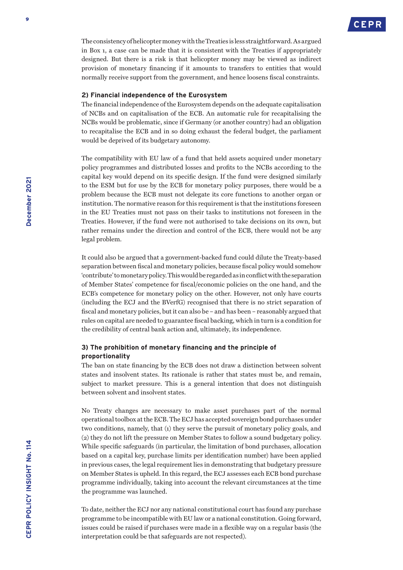

The consistency of helicopter money with the Treaties is less straightforward. As argued in Box 1, a case can be made that it is consistent with the Treaties if appropriately designed. But there is a risk is that helicopter money may be viewed as indirect provision of monetary financing if it amounts to transfers to entities that would normally receive support from the government, and hence loosens fiscal constraints.

## **2) Financial independence of the Eurosystem**

The financial independence of the Eurosystem depends on the adequate capitalisation of NCBs and on capitalisation of the ECB. An automatic rule for recapitalising the NCBs would be problematic, since if Germany (or another country) had an obligation to recapitalise the ECB and in so doing exhaust the federal budget, the parliament would be deprived of its budgetary autonomy.

The compatibility with EU law of a fund that held assets acquired under monetary policy programmes and distributed losses and profits to the NCBs according to the capital key would depend on its specific design. If the fund were designed similarly to the ESM but for use by the ECB for monetary policy purposes, there would be a problem because the ECB must not delegate its core functions to another organ or institution. The normative reason for this requirement is that the institutions foreseen in the EU Treaties must not pass on their tasks to institutions not foreseen in the Treaties. However, if the fund were not authorised to take decisions on its own, but rather remains under the direction and control of the ECB, there would not be any legal problem.

It could also be argued that a government-backed fund could dilute the Treaty-based separation between fiscal and monetary policies, because fiscal policy would somehow 'contribute' to monetary policy. This would be regarded as in conflict with the separation of Member States' competence for fiscal/economic policies on the one hand, and the ECB's competence for monetary policy on the other. However, not only have courts (including the ECJ and the BVerfG) recognised that there is no strict separation of fiscal and monetary policies, but it can also be – and has been – reasonably argued that rules on capital are needed to guarantee fiscal backing, which in turn is a condition for the credibility of central bank action and, ultimately, its independence.

## **3) The prohibition of monetary financing and the principle of proportionality**

The ban on state financing by the ECB does not draw a distinction between solvent states and insolvent states. Its rationale is rather that states must be, and remain, subject to market pressure. This is a general intention that does not distinguish between solvent and insolvent states.

No Treaty changes are necessary to make asset purchases part of the normal operational toolbox at the ECB. The ECJ has accepted sovereign bond purchases under two conditions, namely, that (1) they serve the pursuit of monetary policy goals, and (2) they do not lift the pressure on Member States to follow a sound budgetary policy. While specific safeguards (in particular, the limitation of bond purchases, allocation based on a capital key, purchase limits per identification number) have been applied in previous cases, the legal requirement lies in demonstrating that budgetary pressure on Member States is upheld. In this regard, the ECJ assesses each ECB bond purchase programme individually, taking into account the relevant circumstances at the time the programme was launched.

To date, neither the ECJ nor any national constitutional court has found any purchase programme to be incompatible with EU law or a national constitution. Going forward, issues could be raised if purchases were made in a flexible way on a regular basis (the interpretation could be that safeguards are not respected).

9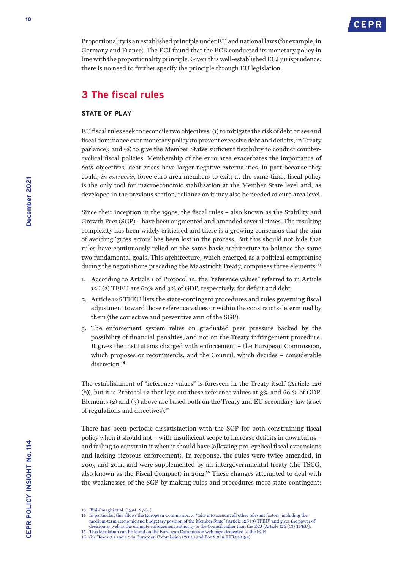

Proportionality is an established principle under EU and national laws (for example, in Germany and France). The ECJ found that the ECB conducted its monetary policy in line with the proportionality principle. Given this well-established ECJ jurisprudence, there is no need to further specify the principle through EU legislation.

# **3 The fiscal rules**

#### **STATE OF PLAY**

EU fiscal rules seek to reconcile two objectives: (1) to mitigate the risk of debt crises and fiscal dominance over monetary policy (to prevent excessive debt and deficits, in Treaty parlance); and (2) to give the Member States sufficient flexibility to conduct countercyclical fiscal policies. Membership of the euro area exacerbates the importance of *both* objectives: debt crises have larger negative externalities, in part because they could, *in extremis*, force euro area members to exit; at the same time, fiscal policy is the only tool for macroeconomic stabilisation at the Member State level and, as developed in the previous section, reliance on it may also be needed at euro area level.

Since their inception in the 1990s, the fiscal rules – also known as the Stability and Growth Pact (SGP) – have been augmented and amended several times. The resulting complexity has been widely criticised and there is a growing consensus that the aim of avoiding 'gross errors' has been lost in the process. But this should not hide that rules have continuously relied on the same basic architecture to balance the same two fundamental goals. This architecture, which emerged as a political compromise during the negotiations preceding the Maastricht Treaty, comprises three elements:**<sup>13</sup>**

- 1. According to Article 1 of Protocol 12, the "reference values" referred to in Article 126 (2) TFEU are 60% and 3% of GDP, respectively, for deficit and debt.
- 2. Article 126 TFEU lists the state-contingent procedures and rules governing fiscal adjustment toward those reference values or within the constraints determined by them (the corrective and preventive arm of the SGP).
- 3. The enforcement system relies on graduated peer pressure backed by the possibility of financial penalties, and not on the Treaty infringement procedure. It gives the institutions charged with enforcement – the European Commission, which proposes or recommends, and the Council, which decides – considerable discretion.**<sup>14</sup>**

The establishment of "reference values" is foreseen in the Treaty itself (Article 126 (2)), but it is Protocol 12 that lays out these reference values at 3% and 60 % of GDP. Elements  $(2)$  and  $(3)$  above are based both on the Treaty and EU secondary law (a set of regulations and directives).**<sup>15</sup>**

There has been periodic dissatisfaction with the SGP for both constraining fiscal policy when it should not – with insufficient scope to increase deficits in downturns – and failing to constrain it when it should have (allowing pro-cyclical fiscal expansions and lacking rigorous enforcement). In response, the rules were twice amended, in 2005 and 2011, and were supplemented by an intergovernmental treaty (the TSCG, also known as the Fiscal Compact) in 2012.**<sup>16</sup>** These changes attempted to deal with the weaknesses of the SGP by making rules and procedures more state-contingent:

16 See Boxes 0.1 and 1.3 in European Commission (2018) and Box 2.3 in EFB (2019a).

<sup>13</sup> [Bini-Smaghi et al. \(1994: 27-31](https://ies.princeton.edu/pdf/E194.pdf)).

<sup>14</sup> In particular, this allows the European Commission to "take into account all other relevant factors, including the medium-term economic and budgetary position of the Member State" [\(Article 126](https://eur-lex.europa.eu/legal-content/EN/ALL/?uri=CELEX%3A12008E126) (3) TFEU) and gives the power of decision as well as the ultimate enforcement authority to the Council rather than the ECJ (Article 126 (13) TFEU).

<sup>15</sup> This legislation can be found on the [European Commission web page](https://ec.europa.eu/info/business-economy-euro/economic-and-fiscal-policy-coordination/eu-economic-governance-monitoring-prevention-correction/stability-and-growth-pact/legal-basis-stability-and-growth-pact_en) dedicated to the SGP.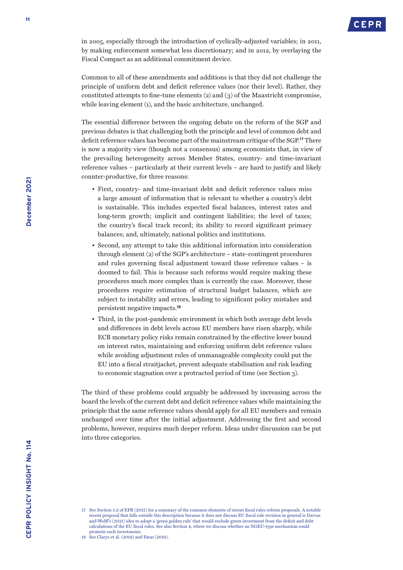

in 2005, especially through the introduction of cyclically-adjusted variables; in 2011, by making enforcement somewhat less discretionary; and in 2012, by overlaying the Fiscal Compact as an additional commitment device.

Common to all of these amendments and additions is that they did not challenge the principle of uniform debt and deficit reference values (nor their level). Rather, they constituted attempts to fine-tune elements (2) and (3) of the Maastricht compromise, while leaving element (1), and the basic architecture, unchanged.

The essential difference between the ongoing debate on the reform of the SGP and previous debates is that challenging both the principle and level of common debt and deficit reference values has become part of the mainstream critique of the SGP.**<sup>17</sup>** There is now a majority view (though not a consensus) among economists that, in view of the prevailing heterogeneity across Member States, country- and time-invariant reference values – particularly at their current levels – are hard to justify and likely counter-productive, for three reasons:

- First, country- and time-invariant debt and deficit reference values miss a large amount of information that is relevant to whether a country's debt is sustainable. This includes expected fiscal balances, interest rates and long-term growth; implicit and contingent liabilities; the level of taxes; the country's fiscal track record; its ability to record significant primary balances; and, ultimately, national politics and institutions.
- Second, any attempt to take this additional information into consideration through element (2) of the SGP's architecture – state-contingent procedures and rules governing fiscal adjustment toward those reference values – is doomed to fail. This is because such reforms would require making these procedures much more complex than is currently the case. Moreover, these procedures require estimation of structural budget balances, which are subject to instability and errors, leading to significant policy mistakes and persistent negative impacts.**<sup>18</sup>**
- Third, in the post-pandemic environment in which both average debt levels and differences in debt levels across EU members have risen sharply, while ECB monetary policy risks remain constrained by the effective lower bound on interest rates, maintaining and enforcing uniform debt reference values while avoiding adjustment rules of unmanageable complexity could put the EU into a fiscal straitjacket, prevent adequate stabilisation and risk leading to economic stagnation over a protracted period of time (see Section 3).

The third of these problems could arguably be addressed by increasing across the board the levels of the current debt and deficit reference values while maintaining the principle that the same reference values should apply for all EU members and remain unchanged over time after the initial adjustment. Addressing the first and second problems, however, requires much deeper reform. Ideas under discussion can be put into three categories.

<sup>17</sup> See Section 5.2 of [EFB \(2021\)](https://ec.europa.eu/info/sites/default/files/annual_report_2021_efb_en_1.pdf) for a summary of the common elements of recent fiscal rules reform proposals. A notable recent proposal that falls outside this description because it does not discuss EU fiscal rule revision in general is [Darvas](https://www.bruegel.org/wp-content/uploads/2021/09/PC-2021-18-0909.pdf)  and Wolff's (2021) idea to adopt a 'green golden rule' that would exclude green investment from the deficit and debt<br>calculations of the EU fiscal rules. See also Section 4, where we discuss whether an NGEU-type mechanism promote such investments.

<sup>18</sup> See [Claeys et al. \(2019\)](https://www.bruegel.org/2016/03/a-proposal-to-revive-the-european-fiscal-framework/) and Fatas (2019).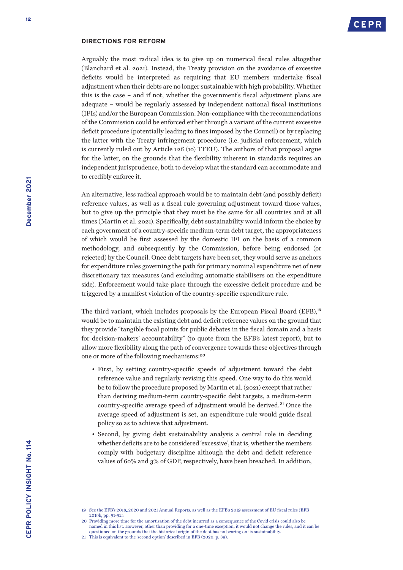#### **DIRECTIONS FOR REFORM**

Arguably the most radical idea is to give up on numerical fiscal rules altogether ([Blanchard et al. 2021](https://voxeu.org/article/ditch-eu-s-fiscal-rules-develop-fiscal-standards-instead)). Instead, the Treaty provision on the avoidance of excessive deficits would be interpreted as requiring that EU members undertake fiscal adjustment when their debts are no longer sustainable with high probability. Whether this is the case – and if not, whether the government's fiscal adjustment plans are adequate – would be regularly assessed by independent national fiscal institutions (IFIs) and/or the European Commission. Non-compliance with the recommendations of the Commission could be enforced either through a variant of the current excessive deficit procedure (potentially leading to fines imposed by the Council) or by replacing the latter with the Treaty infringement procedure (i.e. judicial enforcement, which is currently ruled out by Article 126 (10) TFEU). The authors of that proposal argue for the latter, on the grounds that the flexibility inherent in standards requires an independent jurisprudence, both to develop what the standard can accommodate and to credibly enforce it.

An alternative, less radical approach would be to maintain debt (and possibly deficit) reference values, as well as a fiscal rule governing adjustment toward those values, but to give up the principle that they must be the same for all countries and at all times [\(Martin et al. 2021\)](https://voxeu.org/article/new-template-european-fiscal-framework). Specifically, debt sustainability would inform the choice by each government of a country-specific medium-term debt target, the appropriateness of which would be first assessed by the domestic IFI on the basis of a common methodology, and subsequently by the Commission, before being endorsed (or rejected) by the Council. Once debt targets have been set, they would serve as anchors for expenditure rules governing the path for primary nominal expenditure net of new discretionary tax measures (and excluding automatic stabilisers on the expenditure side). Enforcement would take place through the excessive deficit procedure and be triggered by a manifest violation of the country-specific expenditure rule.

The third variant, which includes proposals by the European Fiscal Board (EFB),**<sup>19</sup>** would be to maintain the existing debt and deficit reference values on the ground that they provide "tangible focal points for public debates in the fiscal domain and a basis for decision-makers' accountability" (to quote from the EFB's latest report), but to allow more flexibility along the path of convergence towards these objectives through one or more of the following mechanisms:**<sup>20</sup>**

- First, by setting country-specific speeds of adjustment toward the debt reference value and regularly revising this speed. One way to do this would be to follow the procedure proposed by Martin et al. (2021) except that rather than deriving medium-term country-specific debt targets, a medium-term country-specific average speed of adjustment would be derived.**<sup>21</sup>** Once the average speed of adjustment is set, an expenditure rule would guide fiscal policy so as to achieve that adjustment.
- Second, by giving debt sustainability analysis a central role in deciding whether deficits are to be considered 'excessive', that is, whether the members comply with budgetary discipline although the debt and deficit reference values of 60% and 3% of GDP, respectively, have been breached. In addition,

<sup>19</sup> See the EFB's [2018](https://ec.europa.eu/info/sites/default/files/2018-efb-annual-report_en.pdf), [2020](https://ec.europa.eu/info/sites/default/files/efb_annual_report_2020_en_0.pdf) and [2021](https://ec.europa.eu/info/files/2021-annual-report-european-fiscal-board_en) Annual Reports, as well as the EFB's [2019 assessment of EU fiscal rules](https://ec.europa.eu/info/sites/default/files/2019-09-10-assessment-of-eu-fiscal-rules_en.pdf) (EFB 2019b, pp. 91-92).

<sup>20</sup> Providing more time for the amortisation of the debt incurred as a consequence of the Covid crisis could also be named in this list. However, other than providing for a one-time exception, it would not change the rules, and it can be questioned on the grounds that the historical origin of the debt has no bearing on its sustainability.

<sup>21</sup> This is equivalent to the 'second option' described in [EFB \(2020, p. 89\)](https://ec.europa.eu/info/sites/default/files/efb_annual_report_2020_en_0.pdf).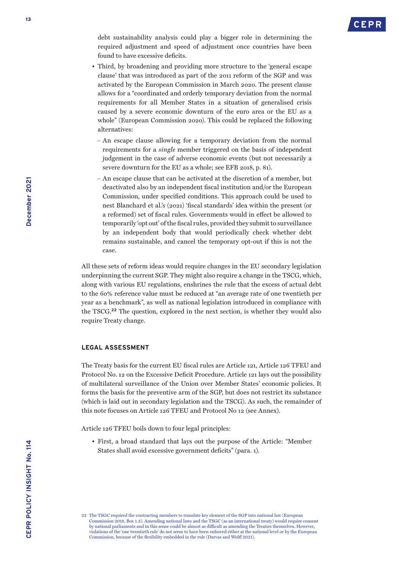

debt sustainability analysis could play a bigger role in determining the required adjustment and speed of adjustment once countries have been found to have excessive deficits.

- Third, by broadening and providing more structure to the 'general escape clause' that was introduced as part of the 2011 reform of the SGP and was activated by the European Commission in March 2020. The present clause allows for a "coordinated and orderly temporary deviation from the normal requirements for all Member States in a situation of generalised crisis caused by a severe economic downturn of the euro area or the EU as a whole" ([European Commission 2020](https://eur-lex.europa.eu/legal-content/EN/TXT/?qid=1591119459569&uri=CELEX:52020DC0123)). This could be replaced the following alternatives:
	- − An escape clause allowing for a temporary deviation from the normal requirements for a *single* member triggered on the basis of independent judgement in the case of adverse economic events (but not necessarily a severe downturn for the EU as a whole; see [EFB 2018, p. 81](https://ec.europa.eu/info/sites/default/files/2018-efb-annual-report_en.pdf)).
	- − An escape clause that can be activated at the discretion of a member, but deactivated also by an independent fiscal institution and/or the European Commission, under specified conditions. This approach could be used to nest Blanchard et al.'s (2021) 'fiscal standards' idea within the present (or a reformed) set of fiscal rules. Governments would in effect be allowed to temporarily 'opt out' of the fiscal rules, provided they submit to surveillance by an independent body that would periodically check whether debt remains sustainable, and cancel the temporary opt-out if this is not the case.

All these sets of reform ideas would require changes in the EU [secondary legislation](https://ec.europa.eu/info/business-economy-euro/economic-and-fiscal-policy-coordination/eu-economic-governance-monitoring-prevention-correction/stability-and-growth-pact/legal-basis-stability-and-growth-pact_en)  underpinning the current SGP. They might also require a change in the TSCG, which, along with various EU regulations, enshrines the rule that the excess of actual debt to the 60% reference value must be reduced at "an average rate of one twentieth per year as a benchmark", as well as national legislation introduced in compliance with the TSCG.**<sup>22</sup>** The question, explored in the next section, is whether they would also require Treaty change.

#### **LEGAL ASSESSMENT**

The Treaty basis for the current EU fiscal rules are Article 121, Article 126 TFEU and Protocol No. 12 on the Excessive Deficit Procedure. Article 121 lays out the possibility of multilateral surveillance of the Union over Member States' economic policies. It forms the basis for the preventive arm of the SGP, but does not restrict its substance (which is laid out in secondary legislation and the TSCG). As such, the remainder of this note focuses on Article 126 TFEU and Protocol No 12 (see Annex).

Article 126 TFEU boils down to four legal principles:

• First, a broad standard that lays out the purpose of the Article: "Member States shall avoid excessive government deficits" (para. 1).

<sup>22</sup> The TSGC required the contracting members to translate key element of the SGP into national law (European Commission 2018, Box 1.3). Amending national laws and the TSGC (as an international treaty) would require consent by national parliaments and in this sense could be almost as difficult as amending the Treaties themselves. However, violations of the 'one twentieth rule' do not seem to have been enforced either at the national level or by the European Commission, because of the flexibility embedded in the rule [\(Darvas and Wolff 2021\)](https://www.bruegel.org/wp-content/uploads/2021/09/PC-2021-18-0909.pdf).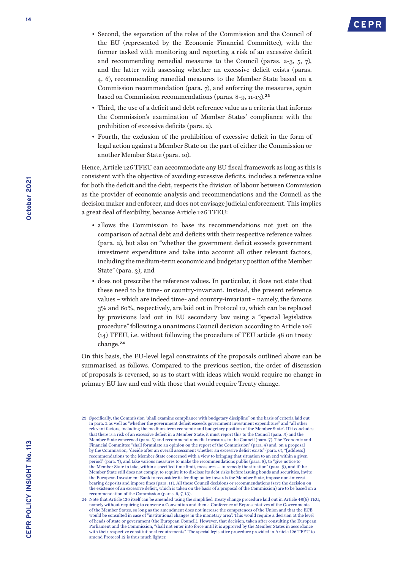- Second, the separation of the roles of the Commission and the Council of the EU (represented by the Economic Financial Committee), with the former tasked with monitoring and reporting a risk of an excessive deficit and recommending remedial measures to the Council (paras. 2-3, 5, 7), and the latter with assessing whether an excessive deficit exists (paras. 4, 6), recommending remedial measures to the Member State based on a Commission recommendation (para. 7), and enforcing the measures, again based on Commission recommendations (paras. 8-9, 11-13).**<sup>23</sup>**
- Third, the use of a deficit and debt reference value as a criteria that informs the Commission's examination of Member States' compliance with the prohibition of excessive deficits (para. 2).
- Fourth, the exclusion of the prohibition of excessive deficit in the form of legal action against a Member State on the part of either the Commission or another Member State (para. 10).

Hence, Article 126 TFEU can accommodate any EU fiscal framework as long as this is consistent with the objective of avoiding excessive deficits, includes a reference value for both the deficit and the debt, respects the division of labour between Commission as the provider of economic analysis and recommendations and the Council as the decision maker and enforcer, and does not envisage judicial enforcement. This implies a great deal of flexibility, because Article 126 TFEU:

- allows the Commission to base its recommendations not just on the comparison of actual debt and deficits with their respective reference values (para. 2), but also on "whether the government deficit exceeds government investment expenditure and take into account all other relevant factors, including the medium-term economic and budgetary position of the Member State" (para. 3); and
- does not prescribe the reference values. In particular, it does not state that these need to be time- or country-invariant. Instead, the present reference values – which are indeed time- and country-invariant – namely, the famous 3% and 60%, respectively, are laid out in Protocol 12, which can be replaced by provisions laid out in EU secondary law using a "special legislative procedure" following a unanimous Council decision according to Article 126 (14) TFEU, i.e. without following the procedure of TEU article 48 on treaty change.**<sup>24</sup>**

On this basis, the EU-level legal constraints of the proposals outlined above can be summarised as follows. Compared to the previous section, the order of discussion of proposals is reversed, so as to start with ideas which would require no change in primary EU law and end with those that would require Treaty change.

- 23 Specifically, the Commission "shall examine compliance with budgetary discipline" on the basis of criteria laid out in para. 2 as well as "whether the government deficit exceeds government investment expenditure" and "all other relevant factors, including the medium-term economic and budgetary position of the Member State". If it concludes that there is a risk of an excessive deficit in a Member State, it must report this to the Council (para. 3) and the Member State concerned (para. 5) and recommend remedial measures to the Council (para. 7). The Economic and Financial Committee "shall formulate an opinion on the report of the Commission" (para. 4) and, on a proposal by the Commission, "decide after an overall assessment whether an excessive deficit exists" (para. 6), "[address] recommendations to the Member State concerned with a view to bringing that situation to an end within a given period" (para. 7), and take various measures to make the recommendations public (para. 8), to "give notice to the Member State to take, within a specified time limit, measures … to remedy the situation" (para. 9), and if the Member State still does not comply, to require it to disclose its debt risks before issuing bonds and securities, invite the European Investment Bank to reconsider its lending policy towards the Member State, impose non-interest bearing deposits and impose fines (para. 11). All these Council decisions or recommendations (save the decision on the existence of an excessive deficit, which is taken on the basis of a proposal of the Commission) are to be based on a recommendation of the Commission (paras. 6, 7, 13).
- 24 Note that Article 126 itself can be amended using the simplified Treaty change procedure laid out in Article 48(6) TEU, namely without requiring to convene a Convention and then a Conference of Representatives of the Governments of the Member States, so long as the amendment does not increase the competences of the Union and that the ECB would be consulted in case of "institutional changes in the monetary area". This would require a decision at the level of heads of state or government (the European Council). However, that decision, taken after consulting the European Parliament and the Commission, "shall not enter into force until it is approved by the Member States in accordance with their respective constitutional requirements". The special legislative procedure provided in Article 126 TFEU to amend Protocol 12 is thus much lighter.

**October 2021**October 2021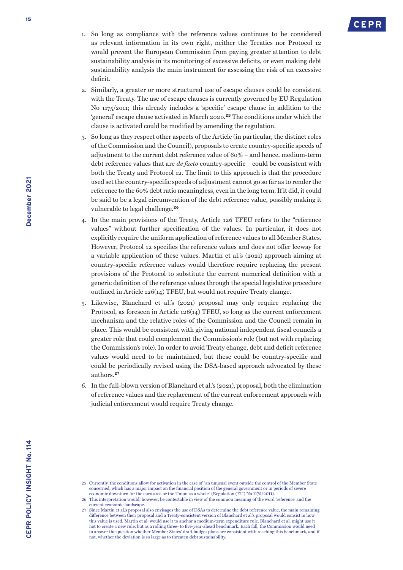

- 1. So long as compliance with the reference values continues to be considered as relevant information in its own right, neither the Treaties nor Protocol 12 would prevent the European Commission from paying greater attention to debt sustainability analysis in its monitoring of excessive deficits, or even making debt sustainability analysis the main instrument for assessing the risk of an excessive deficit.
- 2. Similarly, a greater or more structured use of escape clauses could be consistent with the Treaty. The use of escape clauses is currently governed by EU Regulation No 1175/2011; this already includes a 'specific' escape clause in addition to the 'general' escape clause activated in March 2020.**<sup>25</sup>** The conditions under which the clause is activated could be modified by amending the regulation.
- 3. So long as they respect other aspects of the Article (in particular, the distinct roles of the Commission and the Council), proposals to create country-specific speeds of adjustment to the current debt reference value of 60% – and hence, medium-term debt reference values that are *de facto* country-specific – could be consistent with both the Treaty and Protocol 12. The limit to this approach is that the procedure used set the country-specific speeds of adjustment cannot go so far as to render the reference to the 60% debt ratio meaningless, even in the long term. If it did, it could be said to be a legal circumvention of the debt reference value, possibly making it vulnerable to legal challenge.**<sup>26</sup>**
- 4. In the main provisions of the Treaty, Article 126 TFEU refers to the "reference values" without further specification of the values. In particular, it does not explicitly require the uniform application of reference values to all Member States. However, Protocol 12 specifies the reference values and does not offer leeway for a variable application of these values. Martin et al.'s (2021) approach aiming at country-specific reference values would therefore require replacing the present provisions of the Protocol to substitute the current numerical definition with a generic definition of the reference values through the special legislative procedure outlined in Article 126(14) TFEU, but would not require Treaty change.
- 5. Likewise, Blanchard et al.'s (2021) proposal may only require replacing the Protocol, as foreseen in Article  $126(14)$  TFEU, so long as the current enforcement mechanism and the relative roles of the Commission and the Council remain in place. This would be consistent with giving national independent fiscal councils a greater role that could complement the Commission's role (but not with replacing the Commission's role). In order to avoid Treaty change, debt and deficit reference values would need to be maintained, but these could be country-specific and could be periodically revised using the DSA-based approach advocated by these authors.**<sup>27</sup>**
- 6. In the full-blown version of Blanchard et al.'s (2021), proposal, both the elimination of reference values and the replacement of the current enforcement approach with judicial enforcement would require Treaty change.

<sup>25</sup> Currently, the conditions allow for activation in the case of "an unusual event outside the control of the Member State concerned, which has a major impact on the financial position of the general government or in periods of severe economic downturn for the euro area or the Union as a whole" (Regulation (EU) No 1175/2011)

<sup>26</sup> This interpretation would, however, be contestable in view of the common meaning of the word 'reference' and the current economic landscape.

<sup>27</sup> Since Martin et al.'s proposal also envisages the use of DSAs to determine the debt reference value, the main remaining difference between their proposal and a Treaty-consistent version of Blanchard et al.'s proposal would consist in how this value is used. Martin et al. would use it to anchor a medium-term expenditure rule. Blanchard et al. might use it not to create a new rule, but as a rolling three- to five-year-ahead benchmark. Each fall, the Commission would need to answer the question whether Member States' draft budget plans are consistent with reaching this benchmark, and if not, whether the deviation is so large as to threaten debt sustainability.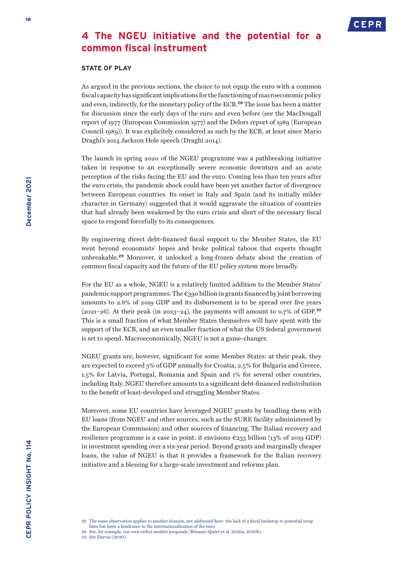

# **4 The NGEU initiative and the potential for a common fiscal instrument**

### **STATE OF PLAY**

As argued in the previous sections, the choice to not equip the euro with a common fiscal capacity has significant implications for the functioning of macroeconomic policy and even, indirectly, for the monetary policy of the ECB.**<sup>28</sup>** The issue has been a matter for discussion since the early days of the euro and even before (see the [MacDougall](https://ec.europa.eu/archives/emu_history/documentation/chapter8/19770401en73macdougallrepvol1.pdf)  [report](https://ec.europa.eu/archives/emu_history/documentation/chapter8/19770401en73macdougallrepvol1.pdf) of 1977 (European Commission 1977) and the [Delors report](https://ec.europa.eu/economy_finance/publications/pages/publication6161_en.pdf) of 1989 (European Council 1989)). It was explicitely considered as such by the ECB, at least since Mario Draghi's 2014 [Jackson Hole speech](https://www.ecb.europa.eu/press/key/date/2014/html/sp140822.en.html) (Draghi 2014).

The launch in spring 2020 of the NGEU programme was a pathbreaking initiative taken in response to an exceptionally severe economic downturn and an acute perception of the risks facing the EU and the euro. Coming less than ten years after the euro crisis, the pandemic shock could have been yet another factor of divergence between European countries. Its onset in Italy and Spain (and its initially milder character in Germany) suggested that it would aggravate the situation of countries that had already been weakened by the euro crisis and short of the necessary fiscal space to respond forcefully to its consequences.

By engineering direct debt-financed fiscal support to the Member States, the EU went beyond economists' hopes and broke political taboos that experts thought unbreakable.**<sup>29</sup>** Moreover, it unlocked a long-frozen debate about the creation of common fiscal capacity and the future of the EU policy system more broadly.

For the EU as a whole, NGEU is a relatively limited addition to the Member States' pandemic support programmes. The  $\epsilon_{390}$  billion in grants financed by joint borrowing amounts to 2.8% of 2019 GDP and its disbursement is to be spread over five years (2021–26). At their peak (in 2023–24), the payments will amount to 0.7% of GDP.**<sup>30</sup>** This is a small fraction of what Member States themselves will have spent with the support of the ECB, and an even smaller fraction of what the US federal government is set to spend. Macroeconomically, NGEU is not a game-changer.

NGEU grants are, however, significant for some Member States: at their peak, they are expected to exceed 3% of GDP annually for Croatia, 2.5% for Bulgaria and Greece, 1.5% for Latvia, Portugal, Romania and Spain and 1% for several other countries, including Italy. NGEU therefore amounts to a significant debt-financed redistribution to the benefit of least-developed and struggling Member States.

Moreover, some EU countries have leveraged NGEU grants by bundling them with EU loans (from NGEU and other sources, such as the SURE facility administered by the European Commission) and other sources of financing. The Italian recovery and resilience programme is a case in point: it envisions  $\epsilon_{235}$  billion (13% of 2019 GDP) in investment spending over a six-year period. Beyond grants and marginally cheaper loans, the value of NGEU is that it provides a framework for the Italian recovery initiative and a blessing for a large-scale investment and reforms plan.

<sup>28</sup> The same observation applies to another domain, not addressed here: the lack of a fiscal backstop to potential swap

lines has been a hindrance to the internationalisation of the euro.

<sup>29</sup> See, for example, our own rather modest proposals (Bénassy-Quéré et al. 2020a, 2020b).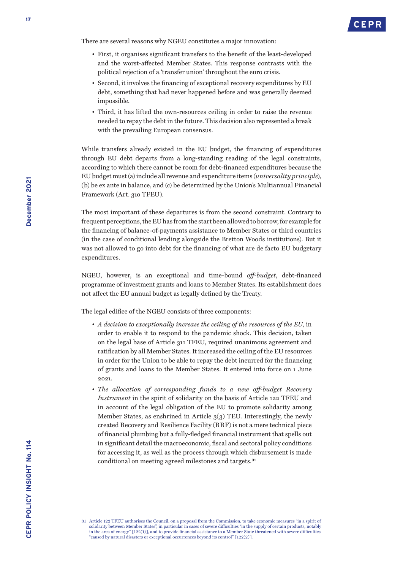- First, it organises significant transfers to the benefit of the least-developed and the worst-affected Member States. This response contrasts with the political rejection of a 'transfer union' throughout the euro crisis.
- Second, it involves the financing of exceptional recovery expenditures by EU debt, something that had never happened before and was generally deemed impossible.
- Third, it has lifted the own-resources ceiling in order to raise the revenue needed to repay the debt in the future. This decision also represented a break with the prevailing European consensus.

While transfers already existed in the EU budget, the financing of expenditures through EU debt departs from a long-standing reading of the legal constraints, according to which there cannot be room for debt-financed expenditures because the EU budget must (a) include all revenue and expenditure items (*universality principle*), (b) be ex ante in balance, and (c) be determined by the Union's Multiannual Financial Framework (Art. 310 TFEU).

The most important of these departures is from the second constraint. Contrary to frequent perceptions, the EU has from the start been allowed to borrow, for example for the financing of balance-of-payments assistance to Member States or third countries (in the case of conditional lending alongside the Bretton Woods institutions). But it was not allowed to go into debt for the financing of what are de facto EU budgetary expenditures.

NGEU, however, is an exceptional and time-bound *off-budget*, debt-financed programme of investment grants and loans to Member States. Its establishment does not affect the EU annual budget as legally defined by the Treaty.

The legal edifice of the NGEU consists of three components:

- *A decision to exceptionally increase the ceiling of the resources of the EU*, in order to enable it to respond to the pandemic shock. This decision, taken on the legal base of Article 311 TFEU, required unanimous agreement and ratification by all Member States. It increased the ceiling of the EU resources in order for the Union to be able to repay the debt incurred for the financing of grants and loans to the Member States. It entered into force on 1 June 2021.
- *The allocation of corresponding funds to a new off-budget Recovery Instrument* in the spirit of solidarity on the basis of Article 122 TFEU and in account of the legal obligation of the EU to promote solidarity among Member States, as enshrined in Article  $3(3)$  TEU. Interestingly, the newly created Recovery and Resilience Facility (RRF) is not a mere technical piece of financial plumbing but a fully-fledged financial instrument that spells out in significant detail the macroeconomic, fiscal and sectoral policy conditions for accessing it, as well as the process through which disbursement is made conditional on meeting agreed milestones and targets.**<sup>31</sup>**

<sup>31</sup> Article 122 TFEU authorises the Council, on a proposal from the Commission, to take economic measures "in a spirit of solidarity between Member States", in particular in cases of severe difficulties "in the supply of certain products, notably in the area of energy" [122(1)], and to provide financial assistance to a Member State threatened with severe difficulties "caused by natural disasters or exceptional occurrences beyond its control" [122(2)].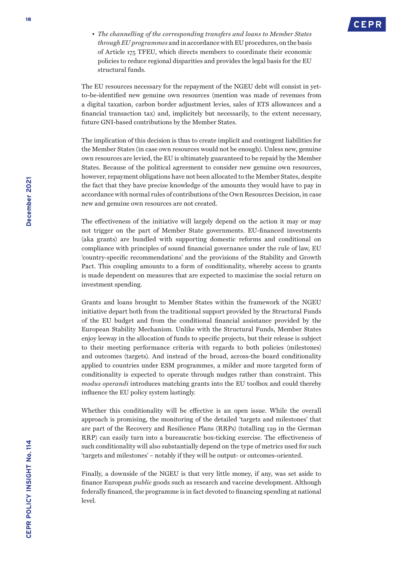• *The channelling of the corresponding transfers and loans to Member States through EU programmes* and in accordance with EU procedures, on the basis of Article 175 TFEU, which directs members to coordinate their economic policies to reduce regional disparities and provides the legal basis for the EU structural funds.

The EU resources necessary for the repayment of the NGEU debt will consist in yetto-be-identified new genuine own resources (mention was made of revenues from a digital taxation, carbon border adjustment levies, sales of ETS allowances and a financial transaction tax) and, implicitely but necessarily, to the extent necessary, future GNI-based contributions by the Member States.

The implication of this decision is thus to create implicit and contingent liabilities for the Member States (in case own resources would not be enough). Unless new, genuine own resources are levied, the EU is ultimately guaranteed to be repaid by the Member States. Because of the political agreement to consider new genuine own resources, however, repayment obligations have not been allocated to the Member States, despite the fact that they have precise knowledge of the amounts they would have to pay in accordance with normal rules of contributions of the Own Resources Decision, in case new and genuine own resources are not created.

The effectiveness of the initiative will largely depend on the action it may or may not trigger on the part of Member State governments. EU-financed investments (aka grants) are bundled with supporting domestic reforms and conditional on compliance with principles of sound financial governance under the rule of law, EU 'country-specific recommendations' and the provisions of the Stability and Growth Pact. This coupling amounts to a form of conditionality, whereby access to grants is made dependent on measures that are expected to maximise the social return on investment spending.

Grants and loans brought to Member States within the framework of the NGEU initiative depart both from the traditional support provided by the Structural Funds of the EU budget and from the conditional financial assistance provided by the European Stability Mechanism. Unlike with the Structural Funds, Member States enjoy leeway in the allocation of funds to specific projects, but their release is subject to their meeting performance criteria with regards to both policies (milestones) and outcomes (targets). And instead of the broad, across-the board conditionality applied to countries under ESM programmes, a milder and more targeted form of conditionality is expected to operate through nudges rather than constraint. This *modus operandi* introduces matching grants into the EU toolbox and could thereby influence the EU policy system lastingly.

Whether this conditionality will be effective is an open issue. While the overall approach is promising, the monitoring of the detailed 'targets and milestones' that are part of the Recovery and Resilience Plans (RRPs) (totalling 129 in the [German](https://eur-lex.europa.eu/legal-content/FR/TXT/?uri=SWD%3A2021%3A163%3AREV1&qid=1626959016062)  [RRP](https://eur-lex.europa.eu/legal-content/FR/TXT/?uri=SWD%3A2021%3A163%3AREV1&qid=1626959016062)) can easily turn into a bureaucratic box-ticking exercise. The effectiveness of such conditionality will also substantially depend on the type of metrics used for such 'targets and milestones' – notably if they will be output- or outcomes-oriented.

Finally, a downside of the NGEU is that very little money, if any, was set aside to finance European *public* goods such as research and vaccine development. Although federally financed, the programme is in fact devoted to financing spending at national level.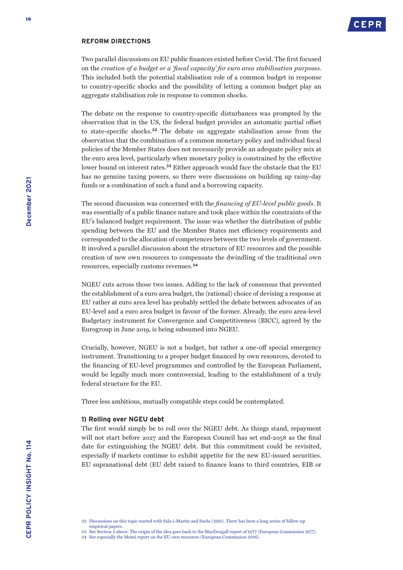

#### **REFORM DIRECTIONS**

Two parallel discussions on EU public finances existed before Covid. The first focused on the *creation of a budget or a 'fiscal capacity' for euro area stabilisation purposes*. This included both the potential stabilisation role of a common budget in response to country-specific shocks and the possibility of letting a common budget play an aggregate stabilisation role in response to common shocks.

The debate on the response to country-specific disturbances was prompted by the observation that in the US, the federal budget provides an automatic partial offset to state-specific shocks.**<sup>32</sup>** The debate on aggregate stabilisation arose from the observation that the combination of a common monetary policy and individual fiscal policies of the Member States does not necessarily provide an adequate policy mix at the euro area level, particularly when monetary policy is constrained by the effective lower bound on interest rates.**<sup>33</sup>** Either approach would face the obstacle that the EU has no genuine taxing powers, so there were discussions on building up rainy-day funds or a combination of such a fund and a borrowing capacity.

The second discussion was concerned with the *financing of EU-level public goods*. It was essentially of a public finance nature and took place within the constraints of the EU's balanced budget requirement. The issue was whether the distribution of public spending between the EU and the Member States met efficiency requirements and corresponded to the allocation of competences between the two levels of government. It involved a parallel discussion about the structure of EU resources and the possible creation of new own resources to compensate the dwindling of the traditional own resources, especially customs revenues.**<sup>34</sup>**

NGEU cuts across those two issues. Adding to the lack of consensus that prevented the establishment of a euro area budget, the (rational) choice of devising a response at EU rather at euro area level has probably settled the debate between advocates of an EU-level and a euro area budget in favour of the former. Already, the euro area-level Budgetary instrument for Convergence and Competitiveness (BICC), agreed by the Eurogroup in June 2019, is being subsumed into NGEU.

Crucially, however, NGEU is not a budget, but rather a one-off special emergency instrument. Transitioning to a proper budget financed by own resources, devoted to the financing of EU-level programmes and controlled by the European Parliament, would be legally much more controversial, leading to the establishment of a truly federal structure for the EU.

Three less ambitious, mutually compatible steps could be contemplated.

### **1) Rolling over NGEU debt**

The first would simply be to roll over the NGEU debt. As things stand, repayment will not start before 2027 and the European Council has set end-2058 as the final date for extinguishing the NGEU debt. But this commitment could be revisited, especially if markets continue to exhibit appetite for the new EU-issued securities. EU supranational debt (EU debt raised to finance loans to third countries, EIB or

<sup>32</sup> Discussions on this topic started with [Sala-i-Martin](https://www.nber.org/papers/w3855) and Sachs (1991). There has been a long series of follow-up empirical papers.

<sup>33</sup> See Section 2 above. The origin of the idea goes back to the [MacDougall report](https://ec.europa.eu/archives/emu_history/documentation/chapter8/19770401en73macdougallrepvol1.pdf) of 1977 (European Commission 1977).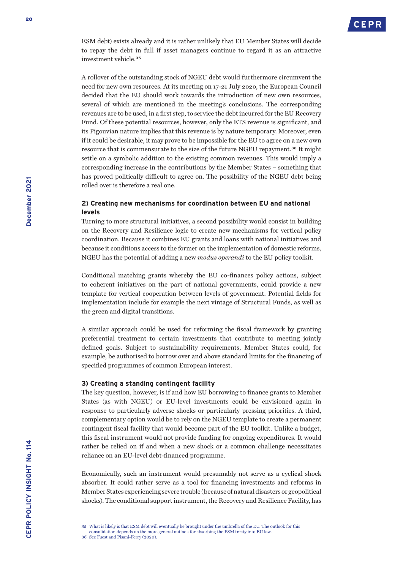

ESM debt) exists already and it is rather unlikely that EU Member States will decide to repay the debt in full if asset managers continue to regard it as an attractive investment vehicle.**<sup>35</sup>**

A rollover of the outstanding stock of NGEU debt would furthermore circumvent the need for new own resources. At its meeting on 17-21 July 2020, the European Council decided that the EU should work towards the introduction of new own resources, several of which are mentioned in the meeting's conclusions. The corresponding revenues are to be used, in a first step, to service the debt incurred for the EU Recovery Fund. Of these potential resources, however, only the ETS revenue is significant, and its Pigouvian nature implies that this revenue is by nature temporary. Moreover, even if it could be desirable, it may prove to be impossible for the EU to agree on a new own resource that is commensurate to the size of the future NGEU repayment.**<sup>36</sup>** It might settle on a symbolic addition to the existing common revenues. This would imply a corresponding increase in the contributions by the Member States – something that has proved politically difficult to agree on. The possibility of the NGEU debt being rolled over is therefore a real one.

## **2) Creating new mechanisms for coordination between EU and national levels**

Turning to more structural initiatives, a second possibility would consist in building on the Recovery and Resilience logic to create new mechanisms for vertical policy coordination. Because it combines EU grants and loans with national initiatives and because it conditions access to the former on the implementation of domestic reforms, NGEU has the potential of adding a new *modus operandi* to the EU policy toolkit.

Conditional matching grants whereby the EU co-finances policy actions, subject to coherent initiatives on the part of national governments, could provide a new template for vertical cooperation between levels of government. Potential fields for implementation include for example the next vintage of Structural Funds, as well as the green and digital transitions.

A similar approach could be used for reforming the fiscal framework by granting preferential treatment to certain investments that contribute to meeting jointly defined goals. Subject to sustainability requirements, Member States could, for example, be authorised to borrow over and above standard limits for the financing of specified programmes of common European interest.

#### **3) Creating a standing contingent facility**

The key question, however, is if and how EU borrowing to finance grants to Member States (as with NGEU) or EU-level investments could be envisioned again in response to particularly adverse shocks or particularly pressing priorities. A third, complementary option would be to rely on the NGEU template to create a permanent contingent fiscal facility that would become part of the EU toolkit. Unlike a budget, this fiscal instrument would not provide funding for ongoing expenditures. It would rather be relied on if and when a new shock or a common challenge necessitates reliance on an EU-level debt-financed programme.

Economically, such an instrument would presumably not serve as a cyclical shock absorber. It could rather serve as a tool for financing investments and reforms in Member States experiencing severe trouble (because of natural disasters or geopolitical shocks). The conditional support instrument, the Recovery and Resilience Facility, has

36 See Fuest and Pisani-Ferry (2020).

<sup>35</sup> What is likely is that ESM debt will eventually be brought under the umbrella of the EU. The outlook for this

consolidation depends on the more general outlook for absorbing the ESM treaty into EU law.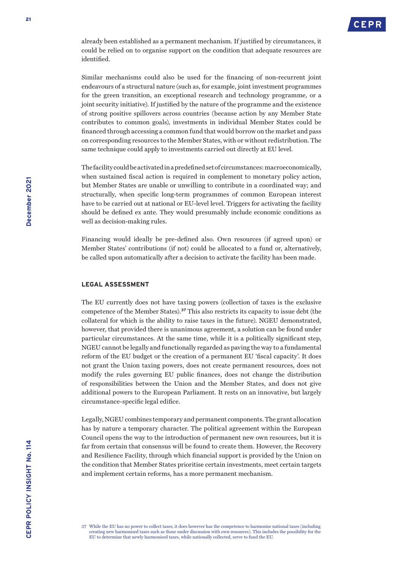

already been established as a permanent mechanism. If justified by circumstances, it could be relied on to organise support on the condition that adequate resources are identified.

Similar mechanisms could also be used for the financing of non-recurrent joint endeavours of a structural nature (such as, for example, joint investment programmes for the green transition, an exceptional research and technology programme, or a joint security initiative). If justified by the nature of the programme and the existence of strong positive spillovers across countries (because action by any Member State contributes to common goals), investments in individual Member States could be financed through accessing a common fund that would borrow on the market and pass on corresponding resources to the Member States, with or without redistribution. The same technique could apply to investments carried out directly at EU level.

The facility could be activated in a predefined set of circumstances: macroeconomically, when sustained fiscal action is required in complement to monetary policy action, but Member States are unable or unwilling to contribute in a coordinated way; and structurally, when specific long-term programmes of common European interest have to be carried out at national or EU-level level. Triggers for activating the facility should be defined ex ante. They would presumably include economic conditions as well as decision-making rules.

Financing would ideally be pre-defined also. Own resources (if agreed upon) or Member States' contributions (if not) could be allocated to a fund or, alternatively, be called upon automatically after a decision to activate the facility has been made.

### **LEGAL ASSESSMENT**

The EU currently does not have taxing powers (collection of taxes is the exclusive competence of the Member States).**<sup>37</sup>** This also restricts its capacity to issue debt (the collateral for which is the ability to raise taxes in the future). NGEU demonstrated, however, that provided there is unanimous agreement, a solution can be found under particular circumstances. At the same time, while it is a politically significant step, NGEU cannot be legally and functionally regarded as paving the way to a fundamental reform of the EU budget or the creation of a permanent EU 'fiscal capacity'. It does not grant the Union taxing powers, does not create permanent resources, does not modify the rules governing EU public finances, does not change the distribution of responsibilities between the Union and the Member States, and does not give additional powers to the European Parliament. It rests on an innovative, but largely circumstance-specific legal edifice.

Legally, NGEU combines temporary and permanent components. The grant allocation has by nature a temporary character. The political agreement within the European Council opens the way to the introduction of permanent new own resources, but it is far from certain that consensus will be found to create them. However, the Recovery and Resilience Facility, through which financial support is provided by the Union on the condition that Member States prioritise certain investments, meet certain targets and implement certain reforms, has a more permanent mechanism.

37 While the EU has no power to collect taxes, it does however has the competence to harmonise national taxes (including creating new harmonised taxes such as those under discussion with own resources). This includes the possibility for the EU to determine that newly harmonised taxes, while nationally collected, serve to fund the EU.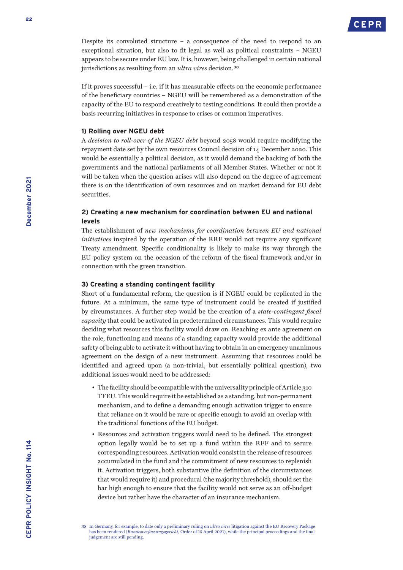

Despite its convoluted structure – a consequence of the need to respond to an exceptional situation, but also to fit legal as well as political constraints – NGEU appears to be secure under EU law. It is, however, being challenged in certain national jurisdictions as resulting from an *ultra vires* decision.**<sup>38</sup>**

If it proves successful – i.e. if it has measurable effects on the economic performance of the beneficiary countries – NGEU will be remembered as a demonstration of the capacity of the EU to respond creatively to testing conditions. It could then provide a basis recurring initiatives in response to crises or common imperatives.

### **1) Rolling over NGEU debt**

A *decision to roll-over of the NGEU debt* beyond 2058 would require modifying the repayment date set by the own resources Council decision of 14 December 2020. This would be essentially a political decision, as it would demand the backing of both the governments and the national parliaments of all Member States. Whether or not it will be taken when the question arises will also depend on the degree of agreement there is on the identification of own resources and on market demand for EU debt securities.

## **2) Creating a new mechanism for coordination between EU and national levels**

The establishment of *new mechanisms for coordination between EU and national initiatives* inspired by the operation of the RRF would not require any significant Treaty amendment. Specific conditionality is likely to make its way through the EU policy system on the occasion of the reform of the fiscal framework and/or in connection with the green transition.

### **3) Creating a standing contingent facility**

Short of a fundamental reform, the question is if NGEU could be replicated in the future. At a minimum, the same type of instrument could be created if justified by circumstances. A further step would be the creation of a *state-contingent fiscal capacity* that could be activated in predetermined circumstances. This would require deciding what resources this facility would draw on. Reaching ex ante agreement on the role, functioning and means of a standing capacity would provide the additional safety of being able to activate it without having to obtain in an emergency unanimous agreement on the design of a new instrument. Assuming that resources could be identified and agreed upon (a non-trivial, but essentially political question), two additional issues would need to be addressed:

- The facility should be compatible with the universality principle of Article 310 TFEU. This would require it be established as a standing, but non-permanent mechanism, and to define a demanding enough activation trigger to ensure that reliance on it would be rare or specific enough to avoid an overlap with the traditional functions of the EU budget.
- Resources and activation triggers would need to be defined. The strongest option legally would be to set up a fund within the RFF and to secure corresponding resources. Activation would consist in the release of resources accumulated in the fund and the commitment of new resources to replenish it. Activation triggers, both substantive (the definition of the circumstances that would require it) and procedural (the majority threshold), should set the bar high enough to ensure that the facility would not serve as an off-budget device but rather have the character of an insurance mechanism.

<sup>38</sup> In Germany, for example, to date only a preliminary ruling on *ultra vires* litigation against the EU Recovery Package has been rendered (*Bundesverfassungsgericht*, Order of 15 April 2021), while the principal proceedings and the final judgement are still pending.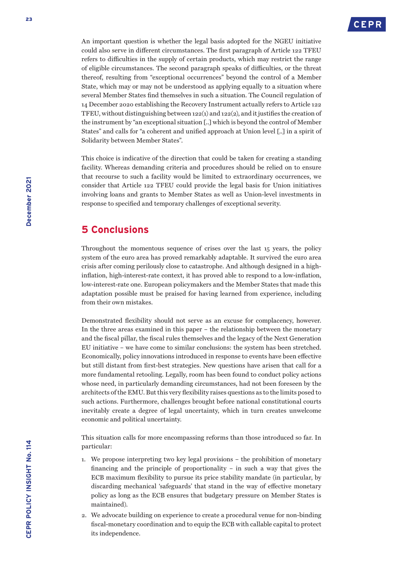An important question is whether the legal basis adopted for the NGEU initiative could also serve in different circumstances. The first paragraph of Article 122 TFEU refers to difficulties in the supply of certain products, which may restrict the range of eligible circumstances. The second paragraph speaks of difficulties, or the threat thereof, resulting from "exceptional occurrences" beyond the control of a Member State, which may or may not be understood as applying equally to a situation where several Member States find themselves in such a situation. The Council regulation of 14 December 2020 establishing the Recovery Instrument actually refers to Article 122 TFEU, without distinguishing between 122(1) and 122(2), and it justifies the creation of the instrument by "an exceptional situation [..] which is beyond the control of Member States" and calls for "a coherent and unified approach at Union level [..] in a spirit of Solidarity between Member States".

This choice is indicative of the direction that could be taken for creating a standing facility. Whereas demanding criteria and procedures should be relied on to ensure that recourse to such a facility would be limited to extraordinary occurrences, we consider that Article 122 TFEU could provide the legal basis for Union initiatives involving loans and grants to Member States as well as Union-level investments in response to specified and temporary challenges of exceptional severity.

# **5 Conclusions**

Throughout the momentous sequence of crises over the last 15 years, the policy system of the euro area has proved remarkably adaptable. It survived the euro area crisis after coming perilously close to catastrophe. And although designed in a highinflation, high-interest-rate context, it has proved able to respond to a low-inflation, low-interest-rate one. European policymakers and the Member States that made this adaptation possible must be praised for having learned from experience, including from their own mistakes.

Demonstrated flexibility should not serve as an excuse for complacency, however. In the three areas examined in this paper – the relationship between the monetary and the fiscal pillar, the fiscal rules themselves and the legacy of the Next Generation EU initiative – we have come to similar conclusions: the system has been stretched. Economically, policy innovations introduced in response to events have been effective but still distant from first-best strategies. New questions have arisen that call for a more fundamental retooling. Legally, room has been found to conduct policy actions whose need, in particularly demanding circumstances, had not been foreseen by the architects of the EMU. But this very flexibility raises questions as to the limits posed to such actions. Furthermore, challenges brought before national constitutional courts inevitably create a degree of legal uncertainty, which in turn creates unwelcome economic and political uncertainty.

This situation calls for more encompassing reforms than those introduced so far. In particular:

- 1. We propose interpreting two key legal provisions the prohibition of monetary financing and the principle of proportionality – in such a way that gives the ECB maximum flexibility to pursue its price stability mandate (in particular, by discarding mechanical 'safeguards' that stand in the way of effective monetary policy as long as the ECB ensures that budgetary pressure on Member States is maintained).
- 2. We advocate building on experience to create a procedural venue for non-binding fiscal-monetary coordination and to equip the ECB with callable capital to protect its independence.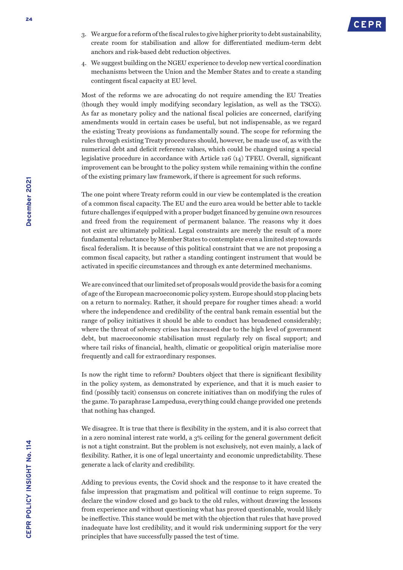- 3. We argue for a reform of the fiscal rules to give higher priority to debt sustainability, create room for stabilisation and allow for differentiated medium-term debt anchors and risk-based debt reduction objectives.
- 4. We suggest building on the NGEU experience to develop new vertical coordination mechanisms between the Union and the Member States and to create a standing contingent fiscal capacity at EU level.

Most of the reforms we are advocating do not require amending the EU Treaties (though they would imply modifying secondary legislation, as well as the TSCG). As far as monetary policy and the national fiscal policies are concerned, clarifying amendments would in certain cases be useful, but not indispensable, as we regard the existing Treaty provisions as fundamentally sound. The scope for reforming the rules through existing Treaty procedures should, however, be made use of, as with the numerical debt and deficit reference values, which could be changed using a special legislative procedure in accordance with Article 126 (14) TFEU. Overall, significant improvement can be brought to the policy system while remaining within the confine of the existing primary law framework, if there is agreement for such reforms.

The one point where Treaty reform could in our view be contemplated is the creation of a common fiscal capacity. The EU and the euro area would be better able to tackle future challenges if equipped with a proper budget financed by genuine own resources and freed from the requirement of permanent balance. The reasons why it does not exist are ultimately political. Legal constraints are merely the result of a more fundamental reluctance by Member States to contemplate even a limited step towards fiscal federalism. It is because of this political constraint that we are not proposing a common fiscal capacity, but rather a standing contingent instrument that would be activated in specific circumstances and through ex ante determined mechanisms.

We are convinced that our limited set of proposals would provide the basis for a coming of age of the European macroeconomic policy system. Europe should stop placing bets on a return to normalcy. Rather, it should prepare for rougher times ahead: a world where the independence and credibility of the central bank remain essential but the range of policy initiatives it should be able to conduct has broadened considerably; where the threat of solvency crises has increased due to the high level of government debt, but macroeconomic stabilisation must regularly rely on fiscal support; and where tail risks of financial, health, climatic or geopolitical origin materialise more frequently and call for extraordinary responses.

Is now the right time to reform? Doubters object that there is significant flexibility in the policy system, as demonstrated by experience, and that it is much easier to find (possibly tacit) consensus on concrete initiatives than on modifying the rules of the game. To paraphrase Lampedusa, everything could change provided one pretends that nothing has changed.

We disagree. It is true that there is flexibility in the system, and it is also correct that in a zero nominal interest rate world, a 3% ceiling for the general government deficit is not a tight constraint. But the problem is not exclusively, not even mainly, a lack of flexibility. Rather, it is one of legal uncertainty and economic unpredictability. These generate a lack of clarity and credibility.

Adding to previous events, the Covid shock and the response to it have created the false impression that pragmatism and political will continue to reign supreme. To declare the window closed and go back to the old rules, without drawing the lessons from experience and without questioning what has proved questionable, would likely be ineffective. This stance would be met with the objection that rules that have proved inadequate have lost credibility, and it would risk undermining support for the very principles that have successfully passed the test of time.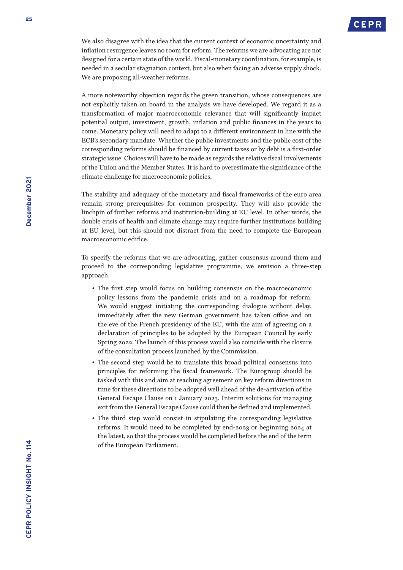

We also disagree with the idea that the current context of economic uncertainty and inflation resurgence leaves no room for reform. The reforms we are advocating are not designed for a certain state of the world. Fiscal-monetary coordination, for example, is needed in a secular stagnation context, but also when facing an adverse supply shock. We are proposing all-weather reforms.

A more noteworthy objection regards the green transition, whose consequences are not explicitly taken on board in the analysis we have developed. We regard it as a transformation of major macroeconomic relevance that will significantly impact potential output, investment, growth, inflation and public finances in the years to come. Monetary policy will need to adapt to a different environment in line with the ECB's secondary mandate. Whether the public investments and the public cost of the corresponding reforms should be financed by current taxes or by debt is a first-order strategic issue. Choices will have to be made as regards the relative fiscal involvements of the Union and the Member States. It is hard to overestimate the significance of the climate challenge for macroeconomic policies.

The stability and adequacy of the monetary and fiscal frameworks of the euro area remain strong prerequisites for common prosperity. They will also provide the linchpin of further reforms and institution-building at EU level. In other words, the double crisis of health and climate change may require further institutions building at EU level, but this should not distract from the need to complete the European macroeconomic edifice.

To specify the reforms that we are advocating, gather consensus around them and proceed to the corresponding legislative programme, we envision a three-step approach.

- The first step would focus on building consensus on the macroeconomic policy lessons from the pandemic crisis and on a roadmap for reform. We would suggest initiating the corresponding dialogue without delay, immediately after the new German government has taken office and on the eve of the French presidency of the EU, with the aim of agreeing on a declaration of principles to be adopted by the European Council by early Spring 2022. The launch of this process would also coincide with the closure of the consultation process launched by the Commission.
- The second step would be to translate this broad political consensus into principles for reforming the fiscal framework. The Eurogroup should be tasked with this and aim at reaching agreement on key reform directions in time for these directions to be adopted well ahead of the de-activation of the General Escape Clause on 1 January 2023. Interim solutions for managing exit from the General Escape Clause could then be defined and implemented.
- The third step would consist in stipulating the corresponding legislative reforms. It would need to be completed by end-2023 or beginning 2024 at the latest, so that the process would be completed before the end of the term of the European Parliament.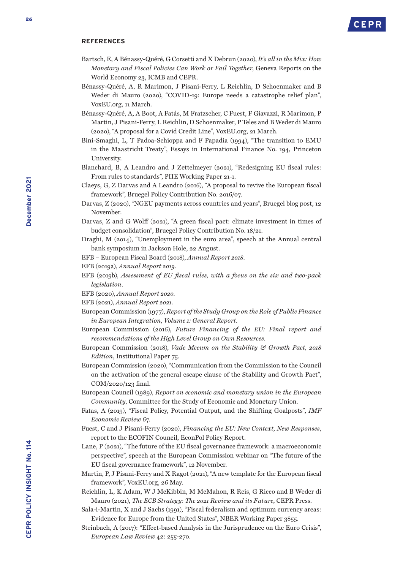

#### **REFERENCES**

- Bartsch, E, A Bénassy-Quéré, G Corsetti and X Debrun (2020), *[It's all in the Mix: How](https://cepr.org/active/publications/books_reports/viewreport.php?cvno=P334)  [Monetary and Fiscal Policies Can Work or Fail Together](https://cepr.org/active/publications/books_reports/viewreport.php?cvno=P334)*, Geneva Reports on the World Economy 23, ICMB and CEPR.
- Bénassy-Quéré, A, R Marimon, J Pisani-Ferry, L Reichlin, D Schoenmaker and B Weder di Mauro (2020), ["COVID-19: Europe needs a catastrophe relief plan"](https://voxeu.org/article/covid-19-europe-needs-catastrophe-relief-plan), VoxEU.org, 11 March.
- Bénassy-Quéré, A, A Boot, A Fatás, M Fratzscher, C Fuest, F Giavazzi, R Marimon, P Martin, J Pisani-Ferry, L Reichlin, D Schoenmaker, P Teles and B Weder di Mauro (2020), ["A proposal for a Covid Credit Line"](https://voxeu.org/article/proposal-covid-credit-line), VoxEU.org, 21 March.
- Bini-Smaghi, L, T Padoa-Schioppa and F Papadia (1994), "[The transition to EMU](https://ies.princeton.edu/pdf/E194.pdf)  [in the Maastricht Treaty](https://ies.princeton.edu/pdf/E194.pdf)", Essays in International Finance No. 194, Princeton University.
- Blanchard, B, A Leandro and J Zettelmeyer (2021), ["Redesigning EU fiscal rules:](https://www.piie.com/publications/working-papers/redesigning-eu-fiscal-rules-rules-standards)  [From rules to standards"](https://www.piie.com/publications/working-papers/redesigning-eu-fiscal-rules-rules-standards), PIIE Working Paper 21-1.
- Claeys, G, Z Darvas and A Leandro (2016), ["A proposal to revive the European fiscal](https://www.bruegel.org/2016/03/a-proposal-to-revive-the-european-fiscal-framework/)  [framework"](https://www.bruegel.org/2016/03/a-proposal-to-revive-the-european-fiscal-framework/), Bruegel Policy Contribution No. 2016/07.
- Darvas, Z (2020), "NGEU payments across countries and years", Bruegel blog post, 12 November.
- Darvas, Z and G Wolff (2021), ["A green fiscal pact: climate investment in times of](https://www.bruegel.org/wp-content/uploads/2021/09/PC-2021-18-0909.pdf)  [budget consolidation"](https://www.bruegel.org/wp-content/uploads/2021/09/PC-2021-18-0909.pdf), Bruegel Policy Contribution No. 18/21.
- Draghi, M (2014), "[Unemployment in the euro area](https://www.ecb.europa.eu/press/key/date/2014/html/sp140822.en.html)", speech at the Annual central bank symposium in Jackson Hole, 22 August.
- EFB European Fiscal Board (2018), *Annual Report 2018*.
- EFB (2019a), *[Annual Report 201](https://ec.europa.eu/info/files/2019-annual-report-european-fiscal-board_en)9*.
- EFB (2019b), *[Assessment of EU fiscal rules, with a focus on the six and two-pack](https://ec.europa.eu/info/sites/default/files/2019-09-10-assessment-of-eu-fiscal-rules_en.pdf)  [legislation](https://ec.europa.eu/info/sites/default/files/2019-09-10-assessment-of-eu-fiscal-rules_en.pdf)*.
- EFB (2020), *Annual Report 2020.*
- EFB (2021), *[Annual Report 2021](https://ec.europa.eu/info/sites/default/files/annual_report_2021_efb_en_1.pdf)*.
- European Commission (1977), *[Report of the Study Group on the Role of Public Finance](https://ec.europa.eu/archives/emu_history/documentation/chapter8/19770401en73macdougallrepvol1.pdf)  [in European Integration, Volume 1: General Report](https://ec.europa.eu/archives/emu_history/documentation/chapter8/19770401en73macdougallrepvol1.pdf)*.
- European Commission (2016), *[Future Financing of the EU: Final report and](https://ec.europa.eu/info/strategy/eu-budget/long-term-eu-budget/2014-2020/revenue/high-level-group-own-resources_en)  [recommendations of the High Level Group on Own Resources.](https://ec.europa.eu/info/strategy/eu-budget/long-term-eu-budget/2014-2020/revenue/high-level-group-own-resources_en)*
- European Commission (2018), *[Vade Mecum on the Stability & Growth Pact, 2018](https://ec.europa.eu/info/sites/default/files/economy-finance/ip075_en.pdf)  [Edition](https://ec.europa.eu/info/sites/default/files/economy-finance/ip075_en.pdf)*, Institutional Paper 75.
- European Commission (2020), ["Communication from the Commission to the Council](https://eur-lex.europa.eu/legal-content/EN/TXT/?qid=1591119459569&uri=CELEX:52020DC0123)  [on the activation of the general escape clause of the Stability and Growth Pact"](https://eur-lex.europa.eu/legal-content/EN/TXT/?qid=1591119459569&uri=CELEX:52020DC0123), COM/2020/123 final.
- European Council (1989), *[Report on economic and monetary union in the European](https://ec.europa.eu/economy_finance/publications/pages/publication6161_en.pdf)  [Community](https://ec.europa.eu/economy_finance/publications/pages/publication6161_en.pdf)*, Committee for the Study of Economic and Monetary Union.
- Fatas, A (2019), "Fiscal Policy, Potential Output, and the Shifting Goalposts", *IMF Economic Review* 67.
- Fuest, C and J Pisani-Ferry (2020), *Financing the EU: New Context, New Responses*, report to the ECOFIN Council, EconPol Policy Report.
- Lane, P (2021), "[The future of the EU fiscal governance framework: a macroeconomic](https://www.ecb.europa.eu/press/key/date/2021/html/ecb.sp211112~739d3447ab.en.html)  [perspective](https://www.ecb.europa.eu/press/key/date/2021/html/ecb.sp211112~739d3447ab.en.html)", speech at the European Commission webinar on "The future of the EU fiscal governance framework", 12 November.
- Martin, P, J Pisani-Ferry and X Ragot (2021), ["A new template for the European fiscal](https://voxeu.org/article/new-template-european-fiscal-framework)  [framework"](https://voxeu.org/article/new-template-european-fiscal-framework), VoxEU.org, 26 May.
- Reichlin, L, K Adam, W J McKibbin, M McMahon, R Reis, G Ricco and B Weder di Mauro (2021), *[The ECB Strategy: The 2021 Review and its Future](https://voxeu.org/content/ecb-strategy-2021-review-and-its-future)*, CEPR Press.
- Sala-i-Martin, X and J Sachs (1991), ["Fiscal federalism and optimum currency areas:](https://www.nber.org/papers/w3855)  [Evidence for Europe from the United States"](https://www.nber.org/papers/w3855), NBER Working Paper 3855.
- Steinbach, A (2017): "Effect-based Analysis in the Jurisprudence on the Euro Crisis", *European Law Review* 42: 255-270.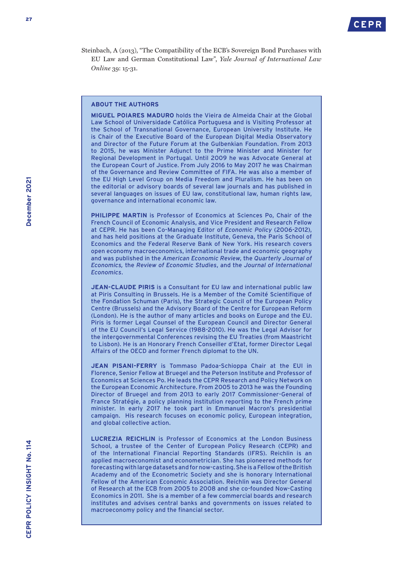

Steinbach, A (2013), "The Compatibility of the ECB's Sovereign Bond Purchases with EU Law and German Constitutional Law", *Yale Journal of International Law Online* 39: 15-31.

#### **ABOUT THE AUTHORS**

**MIGUEL POIARES MADURO** holds the Vieira de Almeida Chair at the Global Law School of Universidade Católica Portuguesa and is Visiting Professor at the School of Transnational Governance, European University Institute. He is Chair of the Executive Board of the European Digital Media Observatory and Director of the Future Forum at the Gulbenkian Foundation. From 2013 to 2015, he was Minister Adjunct to the Prime Minister and Minister for Regional Development in Portugal. Until 2009 he was Advocate General at the European Court of Justice. From July 2016 to May 2017 he was Chairman of the Governance and Review Committee of FIFA. He was also a member of the EU High Level Group on Media Freedom and Pluralism. He has been on the editorial or advisory boards of several law journals and has published in several languages on issues of EU law, constitutional law, human rights law, governance and international economic law.

**PHILIPPE MARTIN** is Professor of Economics at Sciences Po, Chair of the French Council of Economic Analysis, and Vice President and Research Fellow at CEPR. He has been Co-Managing Editor of *Economic Policy* (2006-2012), and has held positions at the Graduate Institute, Geneva, the Paris School of Economics and the Federal Reserve Bank of New York. His research covers open economy macroeconomics, international trade and economic geography and was published in the *American Economic Review*, the *Quarterly Journal of Economics,* the *Review of Economic Studies*, and the *Journal of International Economics*.

**JEAN-CLAUDE PIRIS** is a Consultant for EU law and international public law at Piris Consulting in Brussels. He is a Member of the Comité Scientifique of the Fondation Schuman (Paris), the Strategic Council of the European Policy Centre (Brussels) and the Advisory Board of the Centre for European Reform (London). He is the author of many articles and books on Europe and the EU. Piris is former Legal Counsel of the European Council and Director General of the EU Council's Legal Service (1988-2010). He was the Legal Advisor for the intergovernmental Conferences revising the EU Treaties (from Maastricht to Lisbon). He is an Honorary French Conseiller d'Etat, former Director Legal Affairs of the OECD and former French diplomat to the UN.

**JEAN PISANI-FERRY** is Tommaso Padoa-Schioppa Chair at the EUI in Florence, Senior Fellow at Bruegel and the Peterson Institute and Professor of Economics at Sciences Po. He leads the CEPR Research and Policy Network on the European Economic Architecture. From 2005 to 2013 he was the Founding Director of Bruegel and from 2013 to early 2017 Commissioner-General of France Stratégie, a policy planning institution reporting to the French prime minister. In early 2017 he took part in Emmanuel Macron's presidential campaign. His research focuses on economic policy, European integration, and global collective action.

**LUCREZIA REICHLIN** is Professor of Economics at the London Business School, a trustee of the Center of European Policy Research (CEPR) and of the International Financial Reporting Standards (IFRS). Reichlin is an applied macroeconomist and econometrician. She has pioneered methods for forecasting with large datasets and for now-casting. She is a Fellow of the British Academy and of the Econometric Society and she is honorary International Fellow of the American Economic Association. Reichlin was Director General of Research at the ECB from 2005 to 2008 and she co-founded Now-Casting Economics in 2011. She is a member of a few commercial boards and research institutes and advises central banks and governments on issues related to macroeconomy policy and the financial sector.